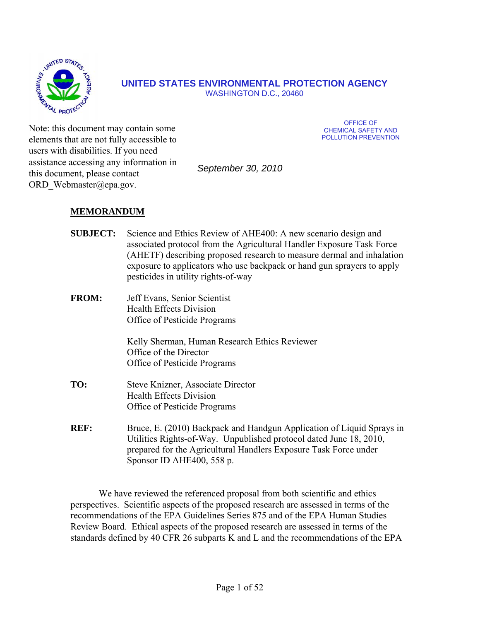

**UNITED STATES ENVIRONMENTAL PROTECTION AGENCY** 

WASHINGTON D.C., 20460

Note: this document may contain some elements that are not fully accessible to users with disabilities. If you need assistance accessing any information in this document, please contact ORD\_Webmaster@epa.gov.

OFFICE OF CHEMICAL SAFETY AND POLLUTION PREVENTION

*September 30, 2010* 

# **MEMORANDUM**

- **SUBJECT:** Science and Ethics Review of AHE400: A new scenario design and associated protocol from the Agricultural Handler Exposure Task Force (AHETF) describing proposed research to measure dermal and inhalation exposure to applicators who use backpack or hand gun sprayers to apply pesticides in utility rights-of-way
- **FROM:** Jeff Evans, Senior Scientist Health Effects Division Office of Pesticide Programs

Kelly Sherman, Human Research Ethics Reviewer Office of the Director Office of Pesticide Programs

- TO: **Steve Knizner, Associate Director** Health Effects Division Office of Pesticide Programs
- **REF:** Bruce, E. (2010) Backpack and Handgun Application of Liquid Sprays in Utilities Rights-of-Way. Unpublished protocol dated June 18, 2010, prepared for the Agricultural Handlers Exposure Task Force under Sponsor ID AHE400, 558 p.

We have reviewed the referenced proposal from both scientific and ethics perspectives. Scientific aspects of the proposed research are assessed in terms of the recommendations of the EPA Guidelines Series 875 and of the EPA Human Studies Review Board. Ethical aspects of the proposed research are assessed in terms of the standards defined by 40 CFR 26 subparts K and L and the recommendations of the EPA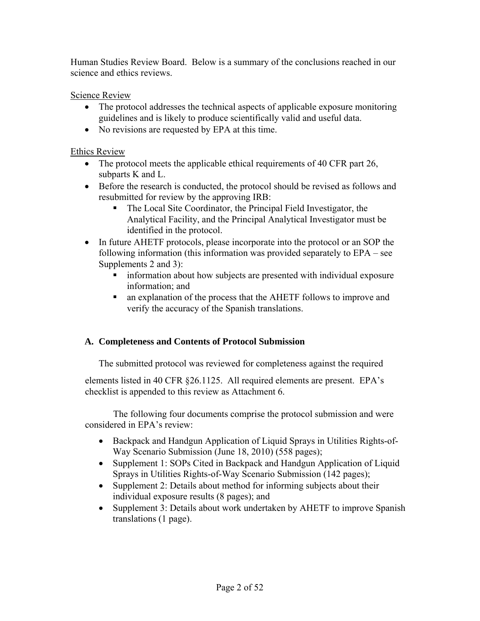Human Studies Review Board. Below is a summary of the conclusions reached in our science and ethics reviews.

Science Review

- The protocol addresses the technical aspects of applicable exposure monitoring guidelines and is likely to produce scientifically valid and useful data.
- No revisions are requested by EPA at this time.

# Ethics Review

- The protocol meets the applicable ethical requirements of 40 CFR part 26, subparts K and L.
- Before the research is conducted, the protocol should be revised as follows and resubmitted for review by the approving IRB:
	- The Local Site Coordinator, the Principal Field Investigator, the Analytical Facility, and the Principal Analytical Investigator must be identified in the protocol.
- In future AHETF protocols, please incorporate into the protocol or an SOP the following information (this information was provided separately to EPA – see Supplements 2 and 3):
	- information about how subjects are presented with individual exposure information; and
	- an explanation of the process that the AHETF follows to improve and verify the accuracy of the Spanish translations.

# **A. Completeness and Contents of Protocol Submission**

The submitted protocol was reviewed for completeness against the required

elements listed in 40 CFR §26.1125. All required elements are present. EPA's checklist is appended to this review as Attachment 6.

The following four documents comprise the protocol submission and were considered in EPA's review:

- Backpack and Handgun Application of Liquid Sprays in Utilities Rights-of-Way Scenario Submission (June 18, 2010) (558 pages);
- Supplement 1: SOPs Cited in Backpack and Handgun Application of Liquid Sprays in Utilities Rights-of-Way Scenario Submission (142 pages);
- Supplement 2: Details about method for informing subjects about their individual exposure results (8 pages); and
- Supplement 3: Details about work undertaken by AHETF to improve Spanish translations (1 page).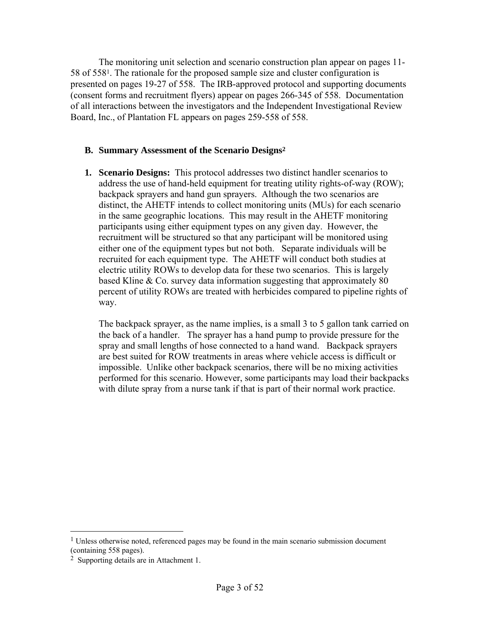The monitoring unit selection and scenario construction plan appear on pages 11- 58 of 5581. The rationale for the proposed sample size and cluster configuration is presented on pages 19-27 of 558. The IRB-approved protocol and supporting documents (consent forms and recruitment flyers) appear on pages 266-345 of 558. Documentation of all interactions between the investigators and the Independent Investigational Review Board, Inc., of Plantation FL appears on pages 259-558 of 558.

#### **B. Summary Assessment of the Scenario Designs2**

**1. Scenario Designs:** This protocol addresses two distinct handler scenarios to address the use of hand-held equipment for treating utility rights-of-way (ROW); backpack sprayers and hand gun sprayers. Although the two scenarios are distinct, the AHETF intends to collect monitoring units (MUs) for each scenario in the same geographic locations. This may result in the AHETF monitoring participants using either equipment types on any given day. However, the recruitment will be structured so that any participant will be monitored using either one of the equipment types but not both. Separate individuals will be recruited for each equipment type. The AHETF will conduct both studies at electric utility ROWs to develop data for these two scenarios. This is largely based Kline & Co. survey data information suggesting that approximately 80 percent of utility ROWs are treated with herbicides compared to pipeline rights of way.

 The backpack sprayer, as the name implies, is a small 3 to 5 gallon tank carried on the back of a handler. The sprayer has a hand pump to provide pressure for the spray and small lengths of hose connected to a hand wand. Backpack sprayers are best suited for ROW treatments in areas where vehicle access is difficult or impossible. Unlike other backpack scenarios, there will be no mixing activities performed for this scenario. However, some participants may load their backpacks with dilute spray from a nurse tank if that is part of their normal work practice.

 $\overline{a}$ 

 $<sup>1</sup>$  Unless otherwise noted, referenced pages may be found in the main scenario submission document</sup> (containing 558 pages).

<sup>2</sup> Supporting details are in Attachment 1.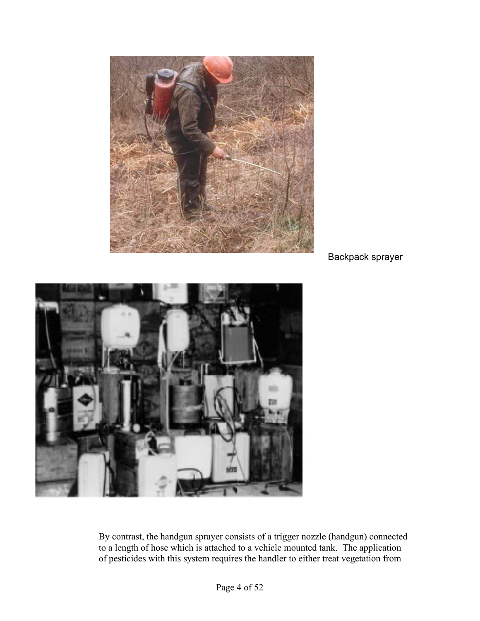

Backpack sprayer



By contrast, the handgun sprayer consists of a trigger nozzle (handgun) connected to a length of hose which is attached to a vehicle mounted tank. The application of pesticides with this system requires the handler to either treat vegetation from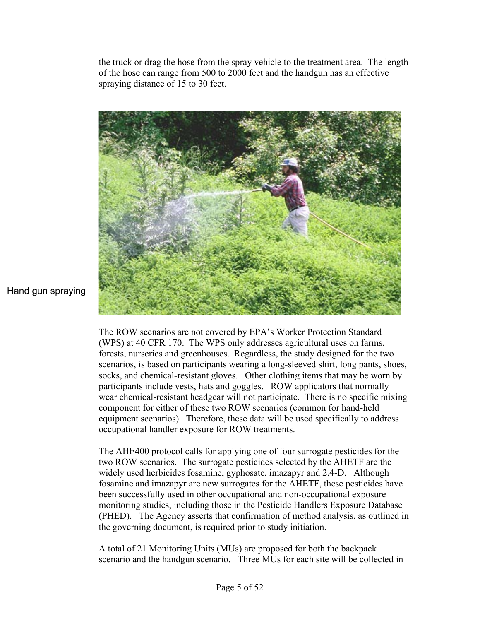the truck or drag the hose from the spray vehicle to the treatment area. The length of the hose can range from 500 to 2000 feet and the handgun has an effective spraying distance of 15 to 30 feet.



Hand gun spraying

The ROW scenarios are not covered by EPA's Worker Protection Standard (WPS) at 40 CFR 170. The WPS only addresses agricultural uses on farms, forests, nurseries and greenhouses. Regardless, the study designed for the two scenarios, is based on participants wearing a long-sleeved shirt, long pants, shoes, socks, and chemical-resistant gloves. Other clothing items that may be worn by participants include vests, hats and goggles. ROW applicators that normally wear chemical-resistant headgear will not participate. There is no specific mixing component for either of these two ROW scenarios (common for hand-held equipment scenarios). Therefore, these data will be used specifically to address occupational handler exposure for ROW treatments.

The AHE400 protocol calls for applying one of four surrogate pesticides for the two ROW scenarios. The surrogate pesticides selected by the AHETF are the widely used herbicides fosamine, gyphosate, imazapyr and 2,4-D. Although fosamine and imazapyr are new surrogates for the AHETF, these pesticides have been successfully used in other occupational and non-occupational exposure monitoring studies, including those in the Pesticide Handlers Exposure Database (PHED). The Agency asserts that confirmation of method analysis, as outlined in the governing document, is required prior to study initiation.

A total of 21 Monitoring Units (MUs) are proposed for both the backpack scenario and the handgun scenario. Three MUs for each site will be collected in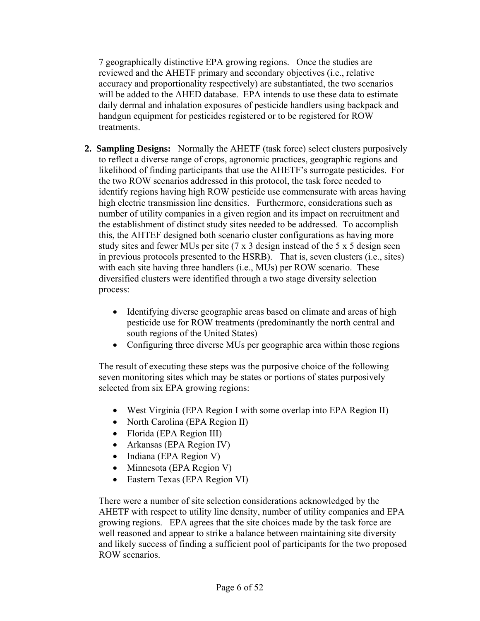7 geographically distinctive EPA growing regions. Once the studies are reviewed and the AHETF primary and secondary objectives (i.e., relative accuracy and proportionality respectively) are substantiated, the two scenarios will be added to the AHED database. EPA intends to use these data to estimate daily dermal and inhalation exposures of pesticide handlers using backpack and handgun equipment for pesticides registered or to be registered for ROW treatments.

- **2. Sampling Designs:** Normally the AHETF (task force) select clusters purposively to reflect a diverse range of crops, agronomic practices, geographic regions and likelihood of finding participants that use the AHETF's surrogate pesticides. For the two ROW scenarios addressed in this protocol, the task force needed to identify regions having high ROW pesticide use commensurate with areas having high electric transmission line densities. Furthermore, considerations such as number of utility companies in a given region and its impact on recruitment and the establishment of distinct study sites needed to be addressed. To accomplish this, the AHTEF designed both scenario cluster configurations as having more study sites and fewer MUs per site (7 x 3 design instead of the 5 x 5 design seen in previous protocols presented to the HSRB). That is, seven clusters (i.e., sites) with each site having three handlers (i.e., MUs) per ROW scenario. These diversified clusters were identified through a two stage diversity selection process:
	- Identifying diverse geographic areas based on climate and areas of high pesticide use for ROW treatments (predominantly the north central and south regions of the United States)
	- Configuring three diverse MUs per geographic area within those regions

The result of executing these steps was the purposive choice of the following seven monitoring sites which may be states or portions of states purposively selected from six EPA growing regions:

- West Virginia (EPA Region I with some overlap into EPA Region II)
- North Carolina (EPA Region II)
- Florida (EPA Region III)
- Arkansas (EPA Region IV)
- Indiana (EPA Region V)
- Minnesota (EPA Region V)
- Eastern Texas (EPA Region VI)

There were a number of site selection considerations acknowledged by the AHETF with respect to utility line density, number of utility companies and EPA growing regions. EPA agrees that the site choices made by the task force are well reasoned and appear to strike a balance between maintaining site diversity and likely success of finding a sufficient pool of participants for the two proposed ROW scenarios.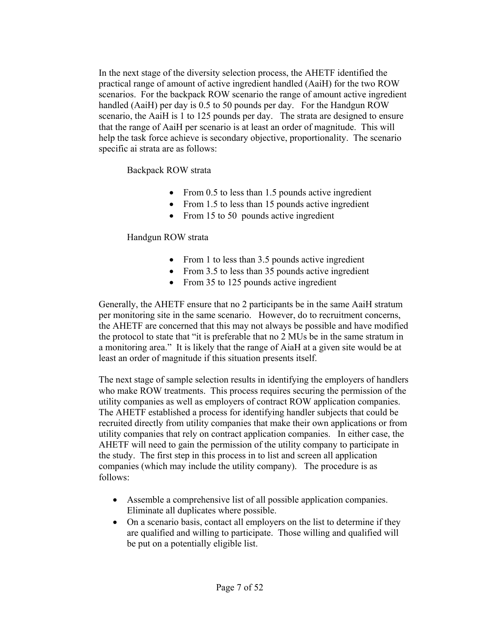In the next stage of the diversity selection process, the AHETF identified the practical range of amount of active ingredient handled (AaiH) for the two ROW scenarios. For the backpack ROW scenario the range of amount active ingredient handled (AaiH) per day is 0.5 to 50 pounds per day. For the Handgun ROW scenario, the AaiH is 1 to 125 pounds per day. The strata are designed to ensure that the range of AaiH per scenario is at least an order of magnitude. This will help the task force achieve is secondary objective, proportionality. The scenario specific ai strata are as follows:

Backpack ROW strata

- From 0.5 to less than 1.5 pounds active ingredient
- From 1.5 to less than 15 pounds active ingredient
- From 15 to 50 pounds active ingredient

### Handgun ROW strata

- From 1 to less than 3.5 pounds active ingredient
- From 3.5 to less than 35 pounds active ingredient
- From 35 to 125 pounds active ingredient

Generally, the AHETF ensure that no 2 participants be in the same AaiH stratum per monitoring site in the same scenario. However, do to recruitment concerns, the AHETF are concerned that this may not always be possible and have modified the protocol to state that "it is preferable that no 2 MUs be in the same stratum in a monitoring area." It is likely that the range of AiaH at a given site would be at least an order of magnitude if this situation presents itself.

The next stage of sample selection results in identifying the employers of handlers who make ROW treatments. This process requires securing the permission of the utility companies as well as employers of contract ROW application companies. The AHETF established a process for identifying handler subjects that could be recruited directly from utility companies that make their own applications or from utility companies that rely on contract application companies. In either case, the AHETF will need to gain the permission of the utility company to participate in the study. The first step in this process in to list and screen all application companies (which may include the utility company). The procedure is as follows:

- Assemble a comprehensive list of all possible application companies. Eliminate all duplicates where possible.
- On a scenario basis, contact all employers on the list to determine if they are qualified and willing to participate. Those willing and qualified will be put on a potentially eligible list.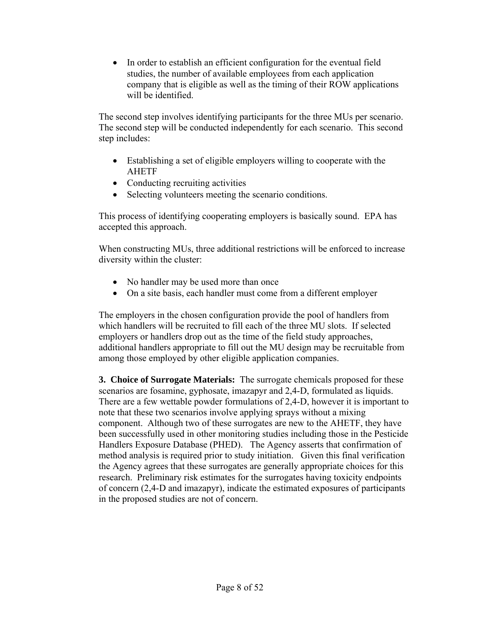• In order to establish an efficient configuration for the eventual field studies, the number of available employees from each application company that is eligible as well as the timing of their ROW applications will be identified.

The second step involves identifying participants for the three MUs per scenario. The second step will be conducted independently for each scenario. This second step includes:

- Establishing a set of eligible employers willing to cooperate with the AHETF
- Conducting recruiting activities
- Selecting volunteers meeting the scenario conditions.

This process of identifying cooperating employers is basically sound. EPA has accepted this approach.

When constructing MUs, three additional restrictions will be enforced to increase diversity within the cluster:

- No handler may be used more than once
- On a site basis, each handler must come from a different employer

The employers in the chosen configuration provide the pool of handlers from which handlers will be recruited to fill each of the three MU slots. If selected employers or handlers drop out as the time of the field study approaches, additional handlers appropriate to fill out the MU design may be recruitable from among those employed by other eligible application companies.

**3. Choice of Surrogate Materials:** The surrogate chemicals proposed for these scenarios are fosamine, gyphosate, imazapyr and 2,4-D, formulated as liquids. There are a few wettable powder formulations of 2,4-D, however it is important to note that these two scenarios involve applying sprays without a mixing component. Although two of these surrogates are new to the AHETF, they have been successfully used in other monitoring studies including those in the Pesticide Handlers Exposure Database (PHED). The Agency asserts that confirmation of method analysis is required prior to study initiation. Given this final verification the Agency agrees that these surrogates are generally appropriate choices for this research. Preliminary risk estimates for the surrogates having toxicity endpoints of concern (2,4-D and imazapyr), indicate the estimated exposures of participants in the proposed studies are not of concern.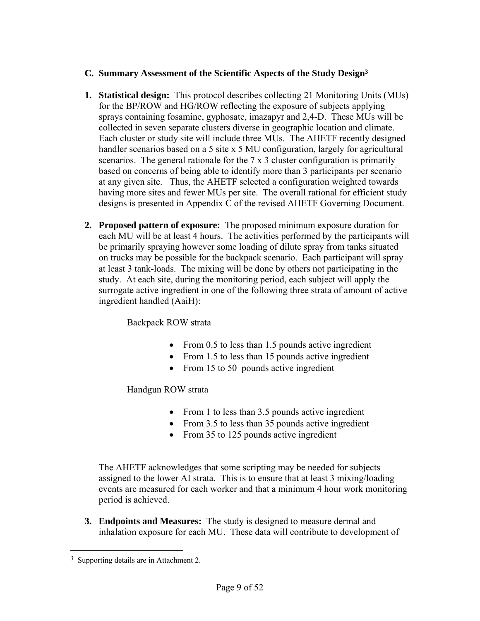# **C. Summary Assessment of the Scientific Aspects of the Study Design3**

- **1. Statistical design:** This protocol describes collecting 21 Monitoring Units (MUs) for the BP/ROW and HG/ROW reflecting the exposure of subjects applying sprays containing fosamine, gyphosate, imazapyr and 2,4-D. These MUs will be collected in seven separate clusters diverse in geographic location and climate. Each cluster or study site will include three MUs. The AHETF recently designed handler scenarios based on a 5 site x 5 MU configuration, largely for agricultural scenarios. The general rationale for the  $7 \times 3$  cluster configuration is primarily based on concerns of being able to identify more than 3 participants per scenario at any given site. Thus, the AHETF selected a configuration weighted towards having more sites and fewer MUs per site. The overall rational for efficient study designs is presented in Appendix C of the revised AHETF Governing Document.
- **2. Proposed pattern of exposure:** The proposed minimum exposure duration for each MU will be at least 4 hours. The activities performed by the participants will be primarily spraying however some loading of dilute spray from tanks situated on trucks may be possible for the backpack scenario. Each participant will spray at least 3 tank-loads. The mixing will be done by others not participating in the study. At each site, during the monitoring period, each subject will apply the surrogate active ingredient in one of the following three strata of amount of active ingredient handled (AaiH):

# Backpack ROW strata

- From 0.5 to less than 1.5 pounds active ingredient
- From 1.5 to less than 15 pounds active ingredient
- From 15 to 50 pounds active ingredient

# Handgun ROW strata

- From 1 to less than 3.5 pounds active ingredient
- From 3.5 to less than 35 pounds active ingredient
- From 35 to 125 pounds active ingredient

The AHETF acknowledges that some scripting may be needed for subjects assigned to the lower AI strata. This is to ensure that at least 3 mixing/loading events are measured for each worker and that a minimum 4 hour work monitoring period is achieved.

**3. Endpoints and Measures:** The study is designed to measure dermal and inhalation exposure for each MU. These data will contribute to development of

1

<sup>3</sup> Supporting details are in Attachment 2.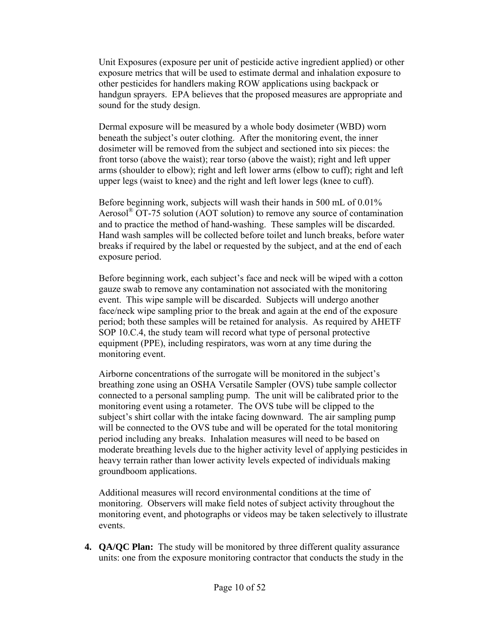Unit Exposures (exposure per unit of pesticide active ingredient applied) or other exposure metrics that will be used to estimate dermal and inhalation exposure to other pesticides for handlers making ROW applications using backpack or handgun sprayers. EPA believes that the proposed measures are appropriate and sound for the study design.

Dermal exposure will be measured by a whole body dosimeter (WBD) worn beneath the subject's outer clothing. After the monitoring event, the inner dosimeter will be removed from the subject and sectioned into six pieces: the front torso (above the waist); rear torso (above the waist); right and left upper arms (shoulder to elbow); right and left lower arms (elbow to cuff); right and left upper legs (waist to knee) and the right and left lower legs (knee to cuff).

Before beginning work, subjects will wash their hands in 500 mL of 0.01% Aerosol<sup>®</sup> OT-75 solution (AOT solution) to remove any source of contamination and to practice the method of hand-washing. These samples will be discarded. Hand wash samples will be collected before toilet and lunch breaks, before water breaks if required by the label or requested by the subject, and at the end of each exposure period.

Before beginning work, each subject's face and neck will be wiped with a cotton gauze swab to remove any contamination not associated with the monitoring event. This wipe sample will be discarded. Subjects will undergo another face/neck wipe sampling prior to the break and again at the end of the exposure period; both these samples will be retained for analysis. As required by AHETF SOP 10.C.4, the study team will record what type of personal protective equipment (PPE), including respirators, was worn at any time during the monitoring event.

Airborne concentrations of the surrogate will be monitored in the subject's breathing zone using an OSHA Versatile Sampler (OVS) tube sample collector connected to a personal sampling pump. The unit will be calibrated prior to the monitoring event using a rotameter. The OVS tube will be clipped to the subject's shirt collar with the intake facing downward. The air sampling pump will be connected to the OVS tube and will be operated for the total monitoring period including any breaks. Inhalation measures will need to be based on moderate breathing levels due to the higher activity level of applying pesticides in heavy terrain rather than lower activity levels expected of individuals making groundboom applications.

Additional measures will record environmental conditions at the time of monitoring. Observers will make field notes of subject activity throughout the monitoring event, and photographs or videos may be taken selectively to illustrate events.

**4. QA/QC Plan:** The study will be monitored by three different quality assurance units: one from the exposure monitoring contractor that conducts the study in the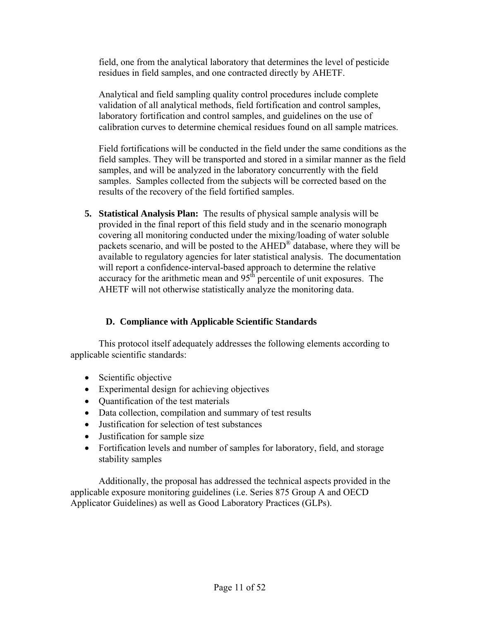field, one from the analytical laboratory that determines the level of pesticide residues in field samples, and one contracted directly by AHETF.

Analytical and field sampling quality control procedures include complete validation of all analytical methods, field fortification and control samples, laboratory fortification and control samples, and guidelines on the use of calibration curves to determine chemical residues found on all sample matrices.

Field fortifications will be conducted in the field under the same conditions as the field samples. They will be transported and stored in a similar manner as the field samples, and will be analyzed in the laboratory concurrently with the field samples. Samples collected from the subjects will be corrected based on the results of the recovery of the field fortified samples.

**5. Statistical Analysis Plan:** The results of physical sample analysis will be provided in the final report of this field study and in the scenario monograph covering all monitoring conducted under the mixing/loading of water soluble packets scenario, and will be posted to the  $AHED^{\otimes}$  database, where they will be available to regulatory agencies for later statistical analysis. The documentation will report a confidence-interval-based approach to determine the relative accuracy for the arithmetic mean and  $95<sup>th</sup>$  percentile of unit exposures. The AHETF will not otherwise statistically analyze the monitoring data.

# **D. Compliance with Applicable Scientific Standards**

This protocol itself adequately addresses the following elements according to applicable scientific standards:

- Scientific objective
- Experimental design for achieving objectives
- Quantification of the test materials
- Data collection, compilation and summary of test results
- Justification for selection of test substances
- Justification for sample size
- Fortification levels and number of samples for laboratory, field, and storage stability samples

Additionally, the proposal has addressed the technical aspects provided in the applicable exposure monitoring guidelines (i.e. Series 875 Group A and OECD Applicator Guidelines) as well as Good Laboratory Practices (GLPs).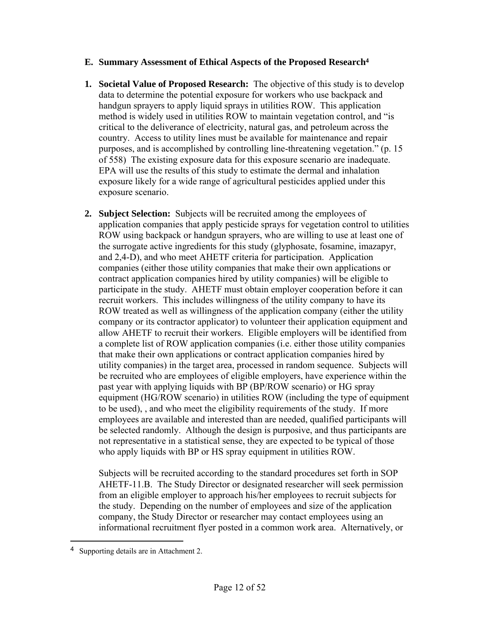### **E. Summary Assessment of Ethical Aspects of the Proposed Research4**

- **1. Societal Value of Proposed Research:** The objective of this study is to develop data to determine the potential exposure for workers who use backpack and handgun sprayers to apply liquid sprays in utilities ROW. This application method is widely used in utilities ROW to maintain vegetation control, and "is critical to the deliverance of electricity, natural gas, and petroleum across the country. Access to utility lines must be available for maintenance and repair purposes, and is accomplished by controlling line-threatening vegetation." (p. 15 of 558) The existing exposure data for this exposure scenario are inadequate. EPA will use the results of this study to estimate the dermal and inhalation exposure likely for a wide range of agricultural pesticides applied under this exposure scenario.
- **2. Subject Selection:** Subjects will be recruited among the employees of application companies that apply pesticide sprays for vegetation control to utilities ROW using backpack or handgun sprayers, who are willing to use at least one of the surrogate active ingredients for this study (glyphosate, fosamine, imazapyr, and 2,4-D), and who meet AHETF criteria for participation. Application companies (either those utility companies that make their own applications or contract application companies hired by utility companies) will be eligible to participate in the study. AHETF must obtain employer cooperation before it can recruit workers. This includes willingness of the utility company to have its ROW treated as well as willingness of the application company (either the utility company or its contractor applicator) to volunteer their application equipment and allow AHETF to recruit their workers. Eligible employers will be identified from a complete list of ROW application companies (i.e. either those utility companies that make their own applications or contract application companies hired by utility companies) in the target area, processed in random sequence. Subjects will be recruited who are employees of eligible employers, have experience within the past year with applying liquids with BP (BP/ROW scenario) or HG spray equipment (HG/ROW scenario) in utilities ROW (including the type of equipment to be used), , and who meet the eligibility requirements of the study. If more employees are available and interested than are needed, qualified participants will be selected randomly. Although the design is purposive, and thus participants are not representative in a statistical sense, they are expected to be typical of those who apply liquids with BP or HS spray equipment in utilities ROW.

Subjects will be recruited according to the standard procedures set forth in SOP AHETF-11.B. The Study Director or designated researcher will seek permission from an eligible employer to approach his/her employees to recruit subjects for the study. Depending on the number of employees and size of the application company, the Study Director or researcher may contact employees using an informational recruitment flyer posted in a common work area. Alternatively, or

1

<sup>&</sup>lt;sup>4</sup> Supporting details are in Attachment 2.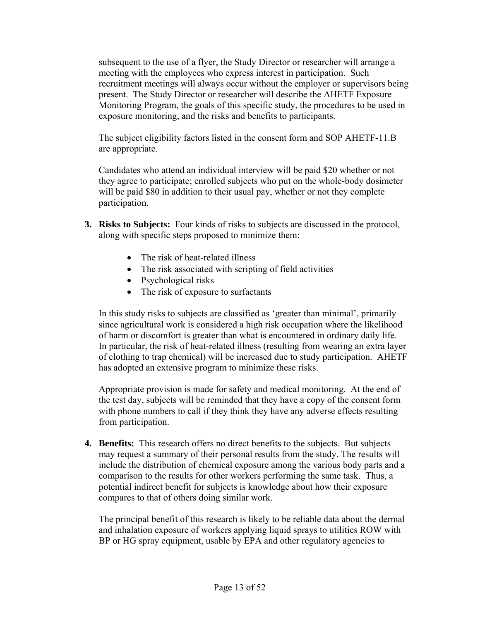subsequent to the use of a flyer, the Study Director or researcher will arrange a meeting with the employees who express interest in participation. Such recruitment meetings will always occur without the employer or supervisors being present. The Study Director or researcher will describe the AHETF Exposure Monitoring Program, the goals of this specific study, the procedures to be used in exposure monitoring, and the risks and benefits to participants.

The subject eligibility factors listed in the consent form and SOP AHETF-11.B are appropriate.

Candidates who attend an individual interview will be paid \$20 whether or not they agree to participate; enrolled subjects who put on the whole-body dosimeter will be paid \$80 in addition to their usual pay, whether or not they complete participation.

- **3. Risks to Subjects:** Four kinds of risks to subjects are discussed in the protocol, along with specific steps proposed to minimize them:
	- The risk of heat-related illness
	- The risk associated with scripting of field activities
	- Psychological risks
	- The risk of exposure to surfactants

In this study risks to subjects are classified as 'greater than minimal', primarily since agricultural work is considered a high risk occupation where the likelihood of harm or discomfort is greater than what is encountered in ordinary daily life. In particular, the risk of heat-related illness (resulting from wearing an extra layer of clothing to trap chemical) will be increased due to study participation. AHETF has adopted an extensive program to minimize these risks.

Appropriate provision is made for safety and medical monitoring. At the end of the test day, subjects will be reminded that they have a copy of the consent form with phone numbers to call if they think they have any adverse effects resulting from participation.

**4. Benefits:** This research offers no direct benefits to the subjects. But subjects may request a summary of their personal results from the study. The results will include the distribution of chemical exposure among the various body parts and a comparison to the results for other workers performing the same task. Thus, a potential indirect benefit for subjects is knowledge about how their exposure compares to that of others doing similar work.

The principal benefit of this research is likely to be reliable data about the dermal and inhalation exposure of workers applying liquid sprays to utilities ROW with BP or HG spray equipment, usable by EPA and other regulatory agencies to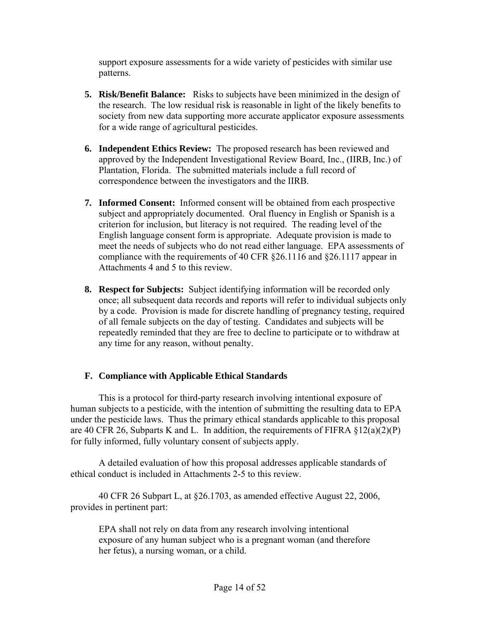support exposure assessments for a wide variety of pesticides with similar use patterns.

- **5. Risk/Benefit Balance:** Risks to subjects have been minimized in the design of the research. The low residual risk is reasonable in light of the likely benefits to society from new data supporting more accurate applicator exposure assessments for a wide range of agricultural pesticides.
- **6. Independent Ethics Review:** The proposed research has been reviewed and approved by the Independent Investigational Review Board, Inc., (IIRB, Inc.) of Plantation, Florida. The submitted materials include a full record of correspondence between the investigators and the IIRB.
- **7. Informed Consent:** Informed consent will be obtained from each prospective subject and appropriately documented. Oral fluency in English or Spanish is a criterion for inclusion, but literacy is not required. The reading level of the English language consent form is appropriate. Adequate provision is made to meet the needs of subjects who do not read either language. EPA assessments of compliance with the requirements of 40 CFR §26.1116 and §26.1117 appear in Attachments 4 and 5 to this review.
- **8. Respect for Subjects:** Subject identifying information will be recorded only once; all subsequent data records and reports will refer to individual subjects only by a code. Provision is made for discrete handling of pregnancy testing, required of all female subjects on the day of testing. Candidates and subjects will be repeatedly reminded that they are free to decline to participate or to withdraw at any time for any reason, without penalty.

# **F. Compliance with Applicable Ethical Standards**

This is a protocol for third-party research involving intentional exposure of human subjects to a pesticide, with the intention of submitting the resulting data to EPA under the pesticide laws. Thus the primary ethical standards applicable to this proposal are 40 CFR 26, Subparts K and L. In addition, the requirements of FIFRA  $\S 12(a)(2)(P)$ for fully informed, fully voluntary consent of subjects apply.

A detailed evaluation of how this proposal addresses applicable standards of ethical conduct is included in Attachments 2-5 to this review.

40 CFR 26 Subpart L, at §26.1703, as amended effective August 22, 2006, provides in pertinent part:

EPA shall not rely on data from any research involving intentional exposure of any human subject who is a pregnant woman (and therefore her fetus), a nursing woman, or a child.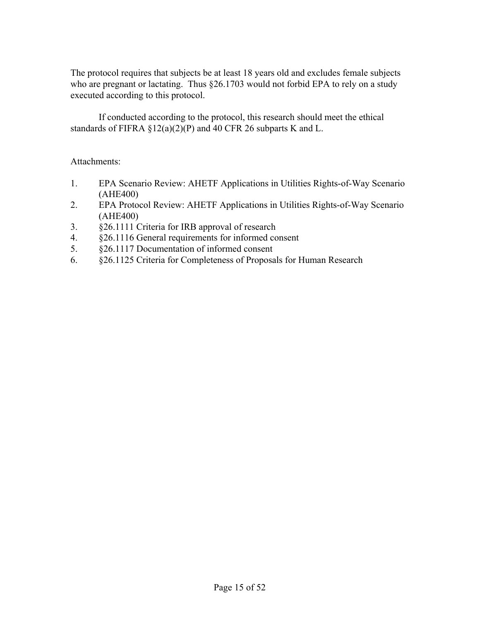The protocol requires that subjects be at least 18 years old and excludes female subjects who are pregnant or lactating. Thus  $\S26.1703$  would not forbid EPA to rely on a study executed according to this protocol.

If conducted according to the protocol, this research should meet the ethical standards of FIFRA §12(a)(2)(P) and 40 CFR 26 subparts K and L.

### Attachments:

- 1. EPA Scenario Review: AHETF Applications in Utilities Rights-of-Way Scenario (AHE400)
- 2. EPA Protocol Review: AHETF Applications in Utilities Rights-of-Way Scenario (AHE400)
- 3. §26.1111 Criteria for IRB approval of research
- 4. §26.1116 General requirements for informed consent
- 5. §26.1117 Documentation of informed consent
- 6. §26.1125 Criteria for Completeness of Proposals for Human Research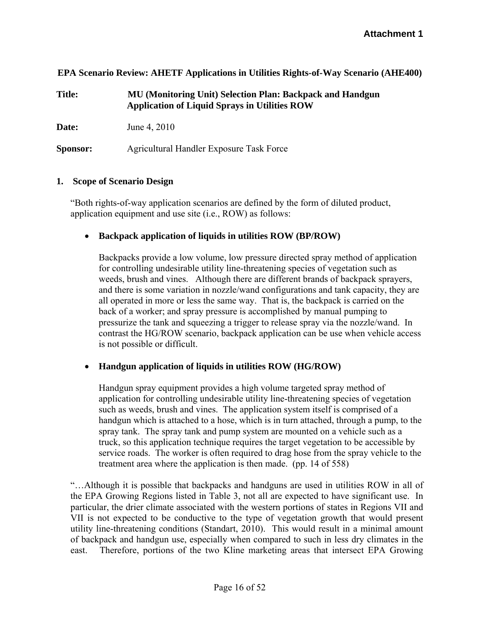### **EPA Scenario Review: AHETF Applications in Utilities Rights-of-Way Scenario (AHE400)**

| <b>Title:</b> | <b>MU (Monitoring Unit) Selection Plan: Backpack and Handgun</b> |
|---------------|------------------------------------------------------------------|
|               | <b>Application of Liquid Sprays in Utilities ROW</b>             |

**Date:** June 4, 2010

**Sponsor:** Agricultural Handler Exposure Task Force

#### **1. Scope of Scenario Design**

"Both rights-of-way application scenarios are defined by the form of diluted product, application equipment and use site (i.e., ROW) as follows:

#### • **Backpack application of liquids in utilities ROW (BP/ROW)**

Backpacks provide a low volume, low pressure directed spray method of application for controlling undesirable utility line-threatening species of vegetation such as weeds, brush and vines. Although there are different brands of backpack sprayers, and there is some variation in nozzle/wand configurations and tank capacity, they are all operated in more or less the same way. That is, the backpack is carried on the back of a worker; and spray pressure is accomplished by manual pumping to pressurize the tank and squeezing a trigger to release spray via the nozzle/wand. In contrast the HG/ROW scenario, backpack application can be use when vehicle access is not possible or difficult.

#### • **Handgun application of liquids in utilities ROW (HG/ROW)**

Handgun spray equipment provides a high volume targeted spray method of application for controlling undesirable utility line-threatening species of vegetation such as weeds, brush and vines. The application system itself is comprised of a handgun which is attached to a hose, which is in turn attached, through a pump, to the spray tank. The spray tank and pump system are mounted on a vehicle such as a truck, so this application technique requires the target vegetation to be accessible by service roads. The worker is often required to drag hose from the spray vehicle to the treatment area where the application is then made. (pp. 14 of 558)

"…Although it is possible that backpacks and handguns are used in utilities ROW in all of the EPA Growing Regions listed in Table 3, not all are expected to have significant use. In particular, the drier climate associated with the western portions of states in Regions VII and VII is not expected to be conductive to the type of vegetation growth that would present utility line-threatening conditions (Standart, 2010). This would result in a minimal amount of backpack and handgun use, especially when compared to such in less dry climates in the east. Therefore, portions of the two Kline marketing areas that intersect EPA Growing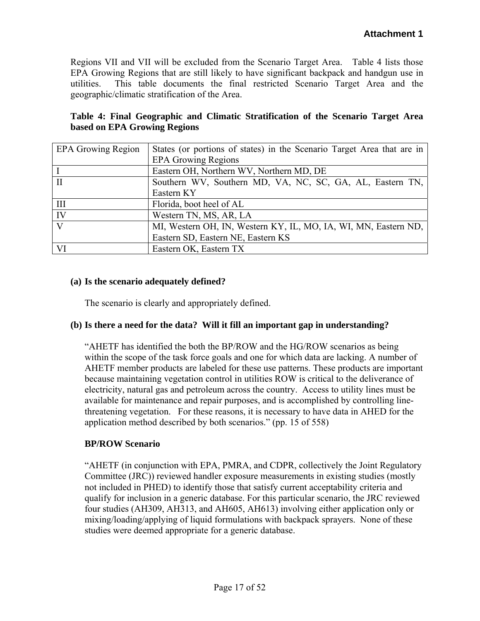Regions VII and VII will be excluded from the Scenario Target Area. Table 4 lists those EPA Growing Regions that are still likely to have significant backpack and handgun use in utilities. This table documents the final restricted Scenario Target Area and the geographic/climatic stratification of the Area.

# **Table 4: Final Geographic and Climatic Stratification of the Scenario Target Area based on EPA Growing Regions**

| <b>EPA Growing Region</b> | States (or portions of states) in the Scenario Target Area that are in |
|---------------------------|------------------------------------------------------------------------|
|                           | <b>EPA Growing Regions</b>                                             |
|                           | Eastern OH, Northern WV, Northern MD, DE                               |
| $\mathbf{I}$              | Southern WV, Southern MD, VA, NC, SC, GA, AL, Eastern TN,              |
|                           | Eastern KY                                                             |
| Ш                         | Florida, boot heel of AL                                               |
| IV                        | Western TN, MS, AR, LA                                                 |
| $\mathbf{V}$              | MI, Western OH, IN, Western KY, IL, MO, IA, WI, MN, Eastern ND,        |
|                           | Eastern SD, Eastern NE, Eastern KS                                     |
| VI                        | Eastern OK, Eastern TX                                                 |

# **(a) Is the scenario adequately defined?**

The scenario is clearly and appropriately defined.

# **(b) Is there a need for the data? Will it fill an important gap in understanding?**

"AHETF has identified the both the BP/ROW and the HG/ROW scenarios as being within the scope of the task force goals and one for which data are lacking. A number of AHETF member products are labeled for these use patterns. These products are important because maintaining vegetation control in utilities ROW is critical to the deliverance of electricity, natural gas and petroleum across the country. Access to utility lines must be available for maintenance and repair purposes, and is accomplished by controlling linethreatening vegetation. For these reasons, it is necessary to have data in AHED for the application method described by both scenarios." (pp. 15 of 558)

# **BP/ROW Scenario**

"AHETF (in conjunction with EPA, PMRA, and CDPR, collectively the Joint Regulatory Committee (JRC)) reviewed handler exposure measurements in existing studies (mostly not included in PHED) to identify those that satisfy current acceptability criteria and qualify for inclusion in a generic database. For this particular scenario, the JRC reviewed four studies (AH309, AH313, and AH605, AH613) involving either application only or mixing/loading/applying of liquid formulations with backpack sprayers. None of these studies were deemed appropriate for a generic database.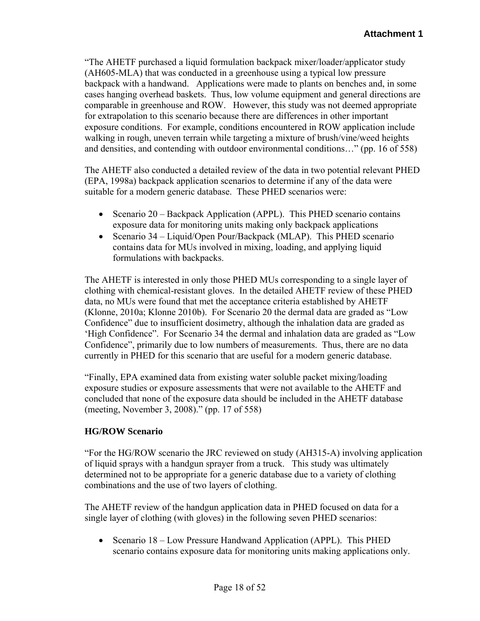"The AHETF purchased a liquid formulation backpack mixer/loader/applicator study (AH605-MLA) that was conducted in a greenhouse using a typical low pressure backpack with a handwand. Applications were made to plants on benches and, in some cases hanging overhead baskets. Thus, low volume equipment and general directions are comparable in greenhouse and ROW. However, this study was not deemed appropriate for extrapolation to this scenario because there are differences in other important exposure conditions. For example, conditions encountered in ROW application include walking in rough, uneven terrain while targeting a mixture of brush/vine/weed heights and densities, and contending with outdoor environmental conditions…" (pp. 16 of 558)

The AHETF also conducted a detailed review of the data in two potential relevant PHED (EPA, 1998a) backpack application scenarios to determine if any of the data were suitable for a modern generic database. These PHED scenarios were:

- Scenario 20 Backpack Application (APPL). This PHED scenario contains exposure data for monitoring units making only backpack applications
- Scenario 34 Liquid/Open Pour/Backpack (MLAP). This PHED scenario contains data for MUs involved in mixing, loading, and applying liquid formulations with backpacks.

The AHETF is interested in only those PHED MUs corresponding to a single layer of clothing with chemical-resistant gloves. In the detailed AHETF review of these PHED data, no MUs were found that met the acceptance criteria established by AHETF (Klonne, 2010a; Klonne 2010b). For Scenario 20 the dermal data are graded as "Low Confidence" due to insufficient dosimetry, although the inhalation data are graded as 'High Confidence". For Scenario 34 the dermal and inhalation data are graded as "Low Confidence", primarily due to low numbers of measurements. Thus, there are no data currently in PHED for this scenario that are useful for a modern generic database.

"Finally, EPA examined data from existing water soluble packet mixing/loading exposure studies or exposure assessments that were not available to the AHETF and concluded that none of the exposure data should be included in the AHETF database (meeting, November 3, 2008)." (pp. 17 of 558)

# **HG/ROW Scenario**

"For the HG/ROW scenario the JRC reviewed on study (AH315-A) involving application of liquid sprays with a handgun sprayer from a truck. This study was ultimately determined not to be appropriate for a generic database due to a variety of clothing combinations and the use of two layers of clothing.

The AHETF review of the handgun application data in PHED focused on data for a single layer of clothing (with gloves) in the following seven PHED scenarios:

• Scenario 18 – Low Pressure Handwand Application (APPL). This PHED scenario contains exposure data for monitoring units making applications only.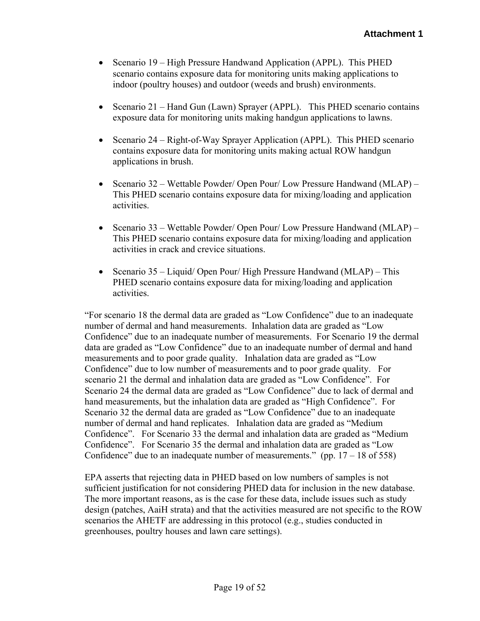- Scenario 19 High Pressure Handwand Application (APPL). This PHED scenario contains exposure data for monitoring units making applications to indoor (poultry houses) and outdoor (weeds and brush) environments.
- Scenario 21 Hand Gun (Lawn) Sprayer (APPL). This PHED scenario contains exposure data for monitoring units making handgun applications to lawns.
- Scenario 24 Right-of-Way Sprayer Application (APPL). This PHED scenario contains exposure data for monitoring units making actual ROW handgun applications in brush.
- Scenario 32 Wettable Powder/ Open Pour/ Low Pressure Handwand (MLAP) This PHED scenario contains exposure data for mixing/loading and application activities.
- Scenario 33 Wettable Powder/ Open Pour/ Low Pressure Handwand (MLAP) This PHED scenario contains exposure data for mixing/loading and application activities in crack and crevice situations.
- Scenario 35 Liquid/ Open Pour/ High Pressure Handwand (MLAP) This PHED scenario contains exposure data for mixing/loading and application activities.

"For scenario 18 the dermal data are graded as "Low Confidence" due to an inadequate number of dermal and hand measurements. Inhalation data are graded as "Low Confidence" due to an inadequate number of measurements. For Scenario 19 the dermal data are graded as "Low Confidence" due to an inadequate number of dermal and hand measurements and to poor grade quality. Inhalation data are graded as "Low Confidence" due to low number of measurements and to poor grade quality. For scenario 21 the dermal and inhalation data are graded as "Low Confidence". For Scenario 24 the dermal data are graded as "Low Confidence" due to lack of dermal and hand measurements, but the inhalation data are graded as "High Confidence". For Scenario 32 the dermal data are graded as "Low Confidence" due to an inadequate number of dermal and hand replicates. Inhalation data are graded as "Medium Confidence". For Scenario 33 the dermal and inhalation data are graded as "Medium Confidence". For Scenario 35 the dermal and inhalation data are graded as "Low Confidence" due to an inadequate number of measurements." (pp.  $17 - 18$  of 558)

EPA asserts that rejecting data in PHED based on low numbers of samples is not sufficient justification for not considering PHED data for inclusion in the new database. The more important reasons, as is the case for these data, include issues such as study design (patches, AaiH strata) and that the activities measured are not specific to the ROW scenarios the AHETF are addressing in this protocol (e.g., studies conducted in greenhouses, poultry houses and lawn care settings).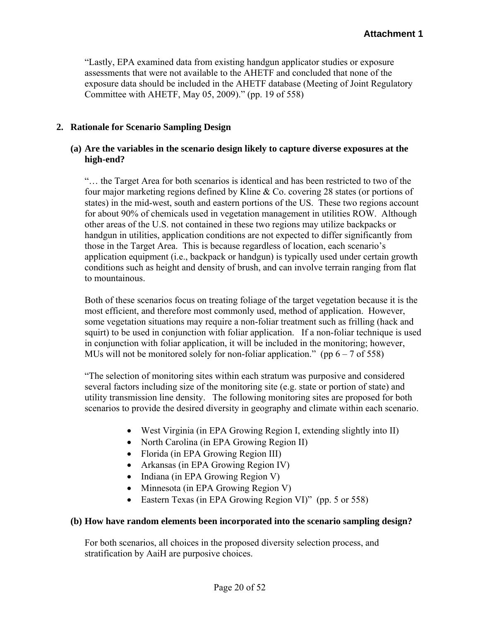"Lastly, EPA examined data from existing handgun applicator studies or exposure assessments that were not available to the AHETF and concluded that none of the exposure data should be included in the AHETF database (Meeting of Joint Regulatory Committee with AHETF, May 05, 2009)." (pp. 19 of 558)

# **2. Rationale for Scenario Sampling Design**

### **(a) Are the variables in the scenario design likely to capture diverse exposures at the high-end?**

"… the Target Area for both scenarios is identical and has been restricted to two of the four major marketing regions defined by Kline & Co. covering 28 states (or portions of states) in the mid-west, south and eastern portions of the US. These two regions account for about 90% of chemicals used in vegetation management in utilities ROW. Although other areas of the U.S. not contained in these two regions may utilize backpacks or handgun in utilities, application conditions are not expected to differ significantly from those in the Target Area. This is because regardless of location, each scenario's application equipment (i.e., backpack or handgun) is typically used under certain growth conditions such as height and density of brush, and can involve terrain ranging from flat to mountainous.

Both of these scenarios focus on treating foliage of the target vegetation because it is the most efficient, and therefore most commonly used, method of application. However, some vegetation situations may require a non-foliar treatment such as frilling (hack and squirt) to be used in conjunction with foliar application. If a non-foliar technique is used in conjunction with foliar application, it will be included in the monitoring; however, MUs will not be monitored solely for non-foliar application." (pp  $6 - 7$  of 558)

"The selection of monitoring sites within each stratum was purposive and considered several factors including size of the monitoring site (e.g. state or portion of state) and utility transmission line density. The following monitoring sites are proposed for both scenarios to provide the desired diversity in geography and climate within each scenario.

- West Virginia (in EPA Growing Region I, extending slightly into II)
- North Carolina (in EPA Growing Region II)
- Florida (in EPA Growing Region III)
- Arkansas (in EPA Growing Region IV)
- Indiana (in EPA Growing Region V)
- Minnesota (in EPA Growing Region V)
- Eastern Texas (in EPA Growing Region VI)" (pp. 5 or 558)

# **(b) How have random elements been incorporated into the scenario sampling design?**

For both scenarios, all choices in the proposed diversity selection process, and stratification by AaiH are purposive choices.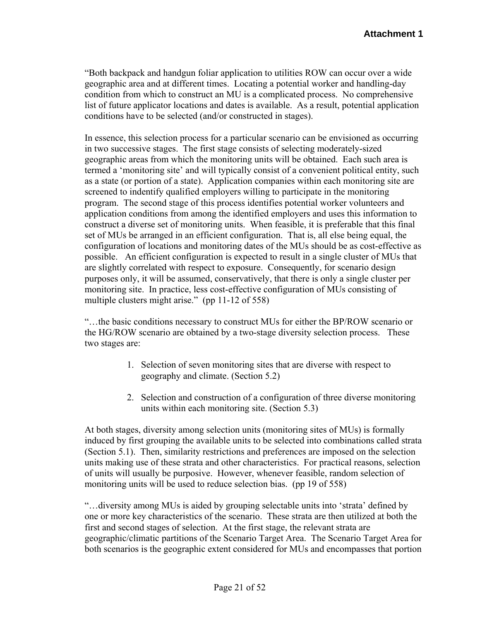"Both backpack and handgun foliar application to utilities ROW can occur over a wide geographic area and at different times. Locating a potential worker and handling-day condition from which to construct an MU is a complicated process. No comprehensive list of future applicator locations and dates is available. As a result, potential application conditions have to be selected (and/or constructed in stages).

In essence, this selection process for a particular scenario can be envisioned as occurring in two successive stages. The first stage consists of selecting moderately-sized geographic areas from which the monitoring units will be obtained. Each such area is termed a 'monitoring site' and will typically consist of a convenient political entity, such as a state (or portion of a state). Application companies within each monitoring site are screened to indentify qualified employers willing to participate in the monitoring program. The second stage of this process identifies potential worker volunteers and application conditions from among the identified employers and uses this information to construct a diverse set of monitoring units. When feasible, it is preferable that this final set of MUs be arranged in an efficient configuration. That is, all else being equal, the configuration of locations and monitoring dates of the MUs should be as cost-effective as possible. An efficient configuration is expected to result in a single cluster of MUs that are slightly correlated with respect to exposure. Consequently, for scenario design purposes only, it will be assumed, conservatively, that there is only a single cluster per monitoring site. In practice, less cost-effective configuration of MUs consisting of multiple clusters might arise." (pp 11-12 of 558)

"…the basic conditions necessary to construct MUs for either the BP/ROW scenario or the HG/ROW scenario are obtained by a two-stage diversity selection process. These two stages are:

- 1. Selection of seven monitoring sites that are diverse with respect to geography and climate. (Section 5.2)
- 2. Selection and construction of a configuration of three diverse monitoring units within each monitoring site. (Section 5.3)

At both stages, diversity among selection units (monitoring sites of MUs) is formally induced by first grouping the available units to be selected into combinations called strata (Section 5.1). Then, similarity restrictions and preferences are imposed on the selection units making use of these strata and other characteristics. For practical reasons, selection of units will usually be purposive. However, whenever feasible, random selection of monitoring units will be used to reduce selection bias. (pp 19 of 558)

"…diversity among MUs is aided by grouping selectable units into 'strata' defined by one or more key characteristics of the scenario. These strata are then utilized at both the first and second stages of selection. At the first stage, the relevant strata are geographic/climatic partitions of the Scenario Target Area. The Scenario Target Area for both scenarios is the geographic extent considered for MUs and encompasses that portion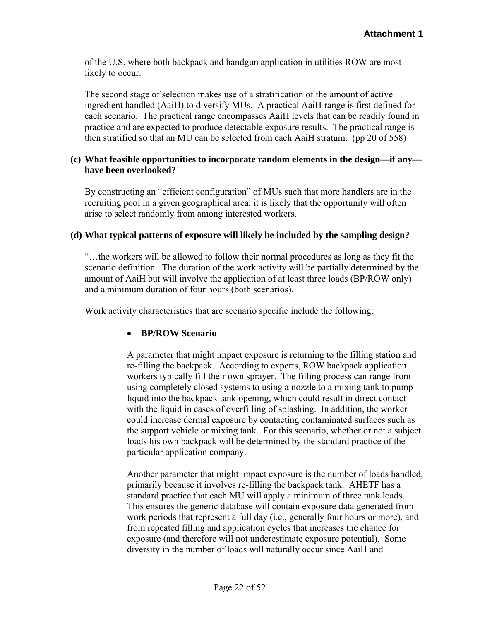of the U.S. where both backpack and handgun application in utilities ROW are most likely to occur.

The second stage of selection makes use of a stratification of the amount of active ingredient handled (AaiH) to diversify MUs. A practical AaiH range is first defined for each scenario. The practical range encompasses AaiH levels that can be readily found in practice and are expected to produce detectable exposure results. The practical range is then stratified so that an MU can be selected from each AaiH stratum. (pp 20 of 558)

### **(c) What feasible opportunities to incorporate random elements in the design—if any have been overlooked?**

By constructing an "efficient configuration" of MUs such that more handlers are in the recruiting pool in a given geographical area, it is likely that the opportunity will often arise to select randomly from among interested workers.

### **(d) What typical patterns of exposure will likely be included by the sampling design?**

"…the workers will be allowed to follow their normal procedures as long as they fit the scenario definition. The duration of the work activity will be partially determined by the amount of AaiH but will involve the application of at least three loads (BP/ROW only) and a minimum duration of four hours (both scenarios).

Work activity characteristics that are scenario specific include the following:

#### • **BP/ROW Scenario**

A parameter that might impact exposure is returning to the filling station and re-filling the backpack. According to experts, ROW backpack application workers typically fill their own sprayer. The filling process can range from using completely closed systems to using a nozzle to a mixing tank to pump liquid into the backpack tank opening, which could result in direct contact with the liquid in cases of overfilling of splashing. In addition, the worker could increase dermal exposure by contacting contaminated surfaces such as the support vehicle or mixing tank. For this scenario, whether or not a subject loads his own backpack will be determined by the standard practice of the particular application company.

standard practice that each MU will apply a minimum of three tank loads. Another parameter that might impact exposure is the number of loads handled, primarily because it involves re-filling the backpack tank. AHETF has a This ensures the generic database will contain exposure data generated from work periods that represent a full day (i.e., generally four hours or more), and from repeated filling and application cycles that increases the chance for exposure (and therefore will not underestimate exposure potential). Some diversity in the number of loads will naturally occur since AaiH and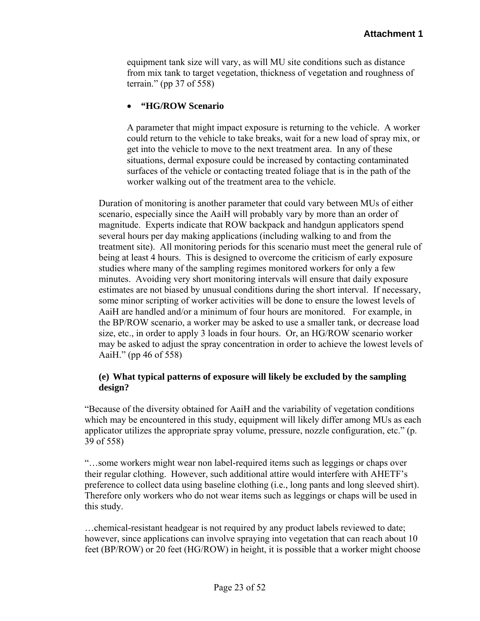equipment tank size will vary, as will MU site conditions such as distance from mix tank to target vegetation, thickness of vegetation and roughness of terrain." (pp 37 of 558)

# • **"HG/ROW Scenario**

A parameter that might impact exposure is returning to the vehicle. A worker could return to the vehicle to take breaks, wait for a new load of spray mix, or get into the vehicle to move to the next treatment area. In any of these situations, dermal exposure could be increased by contacting contaminated surfaces of the vehicle or contacting treated foliage that is in the path of the worker walking out of the treatment area to the vehicle.

Duration of monitoring is another parameter that could vary between MUs of either scenario, especially since the AaiH will probably vary by more than an order of magnitude. Experts indicate that ROW backpack and handgun applicators spend several hours per day making applications (including walking to and from the treatment site). All monitoring periods for this scenario must meet the general rule of being at least 4 hours. This is designed to overcome the criticism of early exposure studies where many of the sampling regimes monitored workers for only a few minutes. Avoiding very short monitoring intervals will ensure that daily exposure estimates are not biased by unusual conditions during the short interval. If necessary, some minor scripting of worker activities will be done to ensure the lowest levels of AaiH are handled and/or a minimum of four hours are monitored. For example, in the BP/ROW scenario, a worker may be asked to use a smaller tank, or decrease load size, etc., in order to apply 3 loads in four hours. Or, an HG/ROW scenario worker may be asked to adjust the spray concentration in order to achieve the lowest levels of AaiH." (pp 46 of 558)

### **(e) What typical patterns of exposure will likely be excluded by the sampling design?**

"Because of the diversity obtained for AaiH and the variability of vegetation conditions which may be encountered in this study, equipment will likely differ among MUs as each applicator utilizes the appropriate spray volume, pressure, nozzle configuration, etc." (p. 39 of 558)

"…some workers might wear non label-required items such as leggings or chaps over their regular clothing. However, such additional attire would interfere with AHETF's preference to collect data using baseline clothing (i.e., long pants and long sleeved shirt). Therefore only workers who do not wear items such as leggings or chaps will be used in this study.

…chemical-resistant headgear is not required by any product labels reviewed to date; however, since applications can involve spraying into vegetation that can reach about 10 feet (BP/ROW) or 20 feet (HG/ROW) in height, it is possible that a worker might choose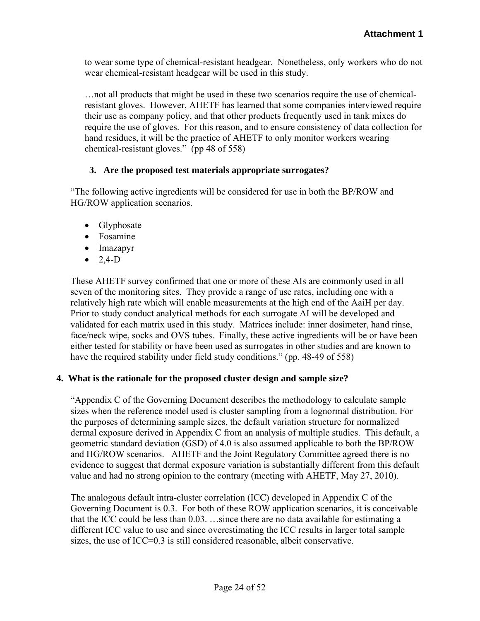to wear some type of chemical-resistant headgear. Nonetheless, only workers who do not wear chemical-resistant headgear will be used in this study.

…not all products that might be used in these two scenarios require the use of chemicalresistant gloves. However, AHETF has learned that some companies interviewed require their use as company policy, and that other products frequently used in tank mixes do require the use of gloves. For this reason, and to ensure consistency of data collection for hand residues, it will be the practice of AHETF to only monitor workers wearing chemical-resistant gloves." (pp 48 of 558)

# **3. Are the proposed test materials appropriate surrogates?**

"The following active ingredients will be considered for use in both the BP/ROW and HG/ROW application scenarios.

- Glyphosate
- Fosamine
- Imazapyr
- $\bullet$  2,4-D

These AHETF survey confirmed that one or more of these AIs are commonly used in all seven of the monitoring sites. They provide a range of use rates, including one with a relatively high rate which will enable measurements at the high end of the AaiH per day. Prior to study conduct analytical methods for each surrogate AI will be developed and validated for each matrix used in this study. Matrices include: inner dosimeter, hand rinse, face/neck wipe, socks and OVS tubes. Finally, these active ingredients will be or have been either tested for stability or have been used as surrogates in other studies and are known to have the required stability under field study conditions." (pp. 48-49 of 558)

# **4. What is the rationale for the proposed cluster design and sample size?**

"Appendix C of the Governing Document describes the methodology to calculate sample sizes when the reference model used is cluster sampling from a lognormal distribution. For the purposes of determining sample sizes, the default variation structure for normalized dermal exposure derived in Appendix C from an analysis of multiple studies. This default, a geometric standard deviation (GSD) of 4.0 is also assumed applicable to both the BP/ROW and HG/ROW scenarios. AHETF and the Joint Regulatory Committee agreed there is no evidence to suggest that dermal exposure variation is substantially different from this default value and had no strong opinion to the contrary (meeting with AHETF, May 27, 2010).

The analogous default intra-cluster correlation (ICC) developed in Appendix C of the Governing Document is 0.3. For both of these ROW application scenarios, it is conceivable that the ICC could be less than 0.03. …since there are no data available for estimating a different ICC value to use and since overestimating the ICC results in larger total sample sizes, the use of ICC=0.3 is still considered reasonable, albeit conservative.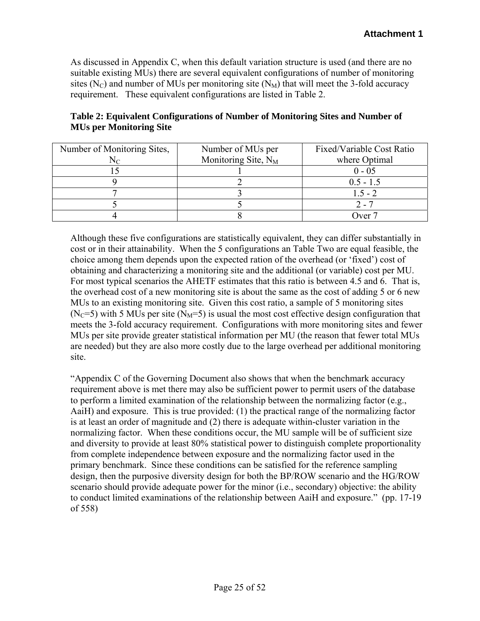As discussed in Appendix C, when this default variation structure is used (and there are no suitable existing MUs) there are several equivalent configurations of number of monitoring sites ( $N_C$ ) and number of MUs per monitoring site ( $N_M$ ) that will meet the 3-fold accuracy requirement. These equivalent configurations are listed in Table 2.

| Number of Monitoring Sites, | Number of MUs per      | Fixed/Variable Cost Ratio |
|-----------------------------|------------------------|---------------------------|
| $\rm N_C$                   | Monitoring Site, $N_M$ | where Optimal             |
|                             |                        | $0 - 05$                  |
|                             |                        | $0.5 - 1.5$               |
|                             |                        | $1.5 - 2$                 |
|                             |                        | $2 - 7$                   |
|                             |                        | Over 7                    |

**Table 2: Equivalent Configurations of Number of Monitoring Sites and Number of MUs per Monitoring Site** 

Although these five configurations are statistically equivalent, they can differ substantially in cost or in their attainability. When the 5 configurations an Table Two are equal feasible, the choice among them depends upon the expected ration of the overhead (or 'fixed') cost of obtaining and characterizing a monitoring site and the additional (or variable) cost per MU. For most typical scenarios the AHETF estimates that this ratio is between 4.5 and 6. That is, the overhead cost of a new monitoring site is about the same as the cost of adding 5 or 6 new MUs to an existing monitoring site. Given this cost ratio, a sample of 5 monitoring sites (N<sub>C</sub>=5) with 5 MUs per site (N<sub>M</sub>=5) is usual the most cost effective design configuration that meets the 3-fold accuracy requirement. Configurations with more monitoring sites and fewer MUs per site provide greater statistical information per MU (the reason that fewer total MUs are needed) but they are also more costly due to the large overhead per additional monitoring site.

"Appendix C of the Governing Document also shows that when the benchmark accuracy requirement above is met there may also be sufficient power to permit users of the database to perform a limited examination of the relationship between the normalizing factor (e.g., AaiH) and exposure. This is true provided: (1) the practical range of the normalizing factor is at least an order of magnitude and (2) there is adequate within-cluster variation in the normalizing factor. When these conditions occur, the MU sample will be of sufficient size and diversity to provide at least 80% statistical power to distinguish complete proportionality from complete independence between exposure and the normalizing factor used in the primary benchmark. Since these conditions can be satisfied for the reference sampling design, then the purposive diversity design for both the BP/ROW scenario and the HG/ROW scenario should provide adequate power for the minor (i.e., secondary) objective: the ability to conduct limited examinations of the relationship between AaiH and exposure." (pp. 17-19 of 558)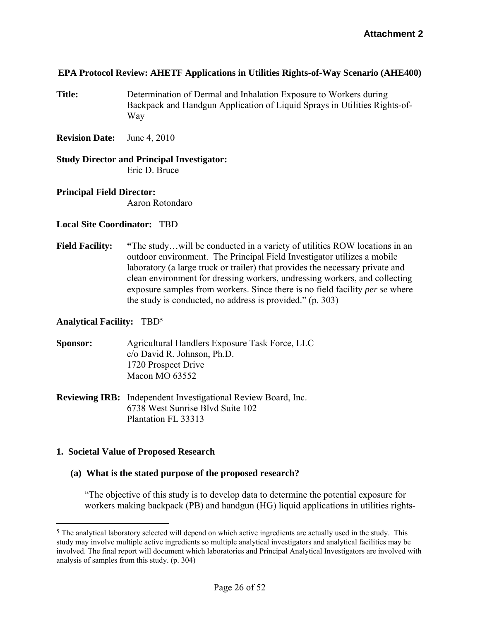### **EPA Protocol Review: AHETF Applications in Utilities Rights-of-Way Scenario (AHE400)**

**Title:** Determination of Dermal and Inhalation Exposure to Workers during Backpack and Handgun Application of Liquid Sprays in Utilities Rights-of-Way

**Revision Date:** June 4, 2010

# **Study Director and Principal Investigator:**

Eric D. Bruce

# **Principal Field Director:**  Aaron Rotondaro

### **Local Site Coordinator:** TBD

**Field Facility:** "The study...will be conducted in a variety of utilities ROW locations in an outdoor environment. The Principal Field Investigator utilizes a mobile laboratory (a large truck or trailer) that provides the necessary private and clean environment for dressing workers, undressing workers, and collecting exposure samples from workers. Since there is no field facility *per se* where the study is conducted, no address is provided." (p. 303)

# **Analytical Facility:** TBD5

 $\overline{a}$ 

- **Sponsor:** Agricultural Handlers Exposure Task Force, LLC c/o David R. Johnson, Ph.D. 1720 Prospect Drive Macon MO 63552
- **Reviewing IRB:** Independent Investigational Review Board, Inc. 6738 West Sunrise Blvd Suite 102 Plantation FL 33313

#### **1. Societal Value of Proposed Research**

#### **(a) What is the stated purpose of the proposed research?**

"The objective of this study is to develop data to determine the potential exposure for workers making backpack (PB) and handgun (HG) liquid applications in utilities rights-

 involved. The final report will document which laboratories and Principal Analytical Investigators are involved with 5 The analytical laboratory selected will depend on which active ingredients are actually used in the study. This study may involve multiple active ingredients so multiple analytical investigators and analytical facilities may be analysis of samples from this study. (p. 304)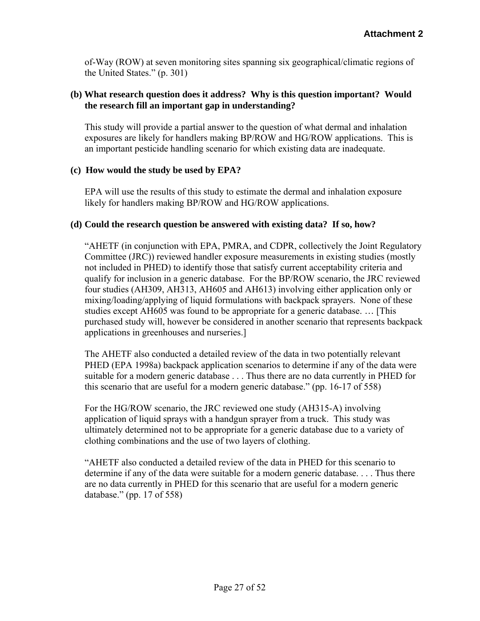of-Way (ROW) at seven monitoring sites spanning six geographical/climatic regions of the United States." (p. 301)

#### **(b) What research question does it address? Why is this question important? Would the research fill an important gap in understanding?**

This study will provide a partial answer to the question of what dermal and inhalation exposures are likely for handlers making BP/ROW and HG/ROW applications. This is an important pesticide handling scenario for which existing data are inadequate.

### **(c) How would the study be used by EPA?**

EPA will use the results of this study to estimate the dermal and inhalation exposure likely for handlers making BP/ROW and HG/ROW applications.

### **(d) Could the research question be answered with existing data? If so, how?**

"AHETF (in conjunction with EPA, PMRA, and CDPR, collectively the Joint Regulatory Committee (JRC)) reviewed handler exposure measurements in existing studies (mostly not included in PHED) to identify those that satisfy current acceptability criteria and qualify for inclusion in a generic database. For the BP/ROW scenario, the JRC reviewed four studies (AH309, AH313, AH605 and AH613) involving either application only or mixing/loading/applying of liquid formulations with backpack sprayers. None of these studies except AH605 was found to be appropriate for a generic database. … [This purchased study will, however be considered in another scenario that represents backpack applications in greenhouses and nurseries.]

The AHETF also conducted a detailed review of the data in two potentially relevant PHED (EPA 1998a) backpack application scenarios to determine if any of the data were suitable for a modern generic database . . . Thus there are no data currently in PHED for this scenario that are useful for a modern generic database." (pp. 16-17 of 558)

For the HG/ROW scenario, the JRC reviewed one study (AH315-A) involving application of liquid sprays with a handgun sprayer from a truck. This study was ultimately determined not to be appropriate for a generic database due to a variety of clothing combinations and the use of two layers of clothing.

"AHETF also conducted a detailed review of the data in PHED for this scenario to determine if any of the data were suitable for a modern generic database. . . . Thus there are no data currently in PHED for this scenario that are useful for a modern generic database." (pp. 17 of 558)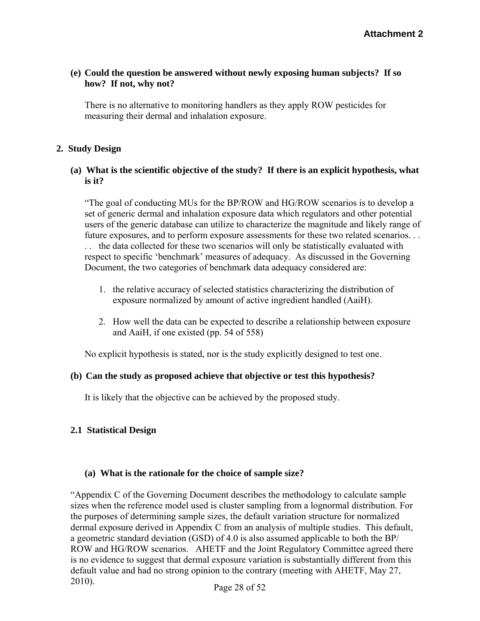# **(e) Could the question be answered without newly exposing human subjects? If so how? If not, why not?**

There is no alternative to monitoring handlers as they apply ROW pesticides for measuring their dermal and inhalation exposure.

# **2. Study Design**

# **(a) What is the scientific objective of the study? If there is an explicit hypothesis, what is it?**

"The goal of conducting MUs for the BP/ROW and HG/ROW scenarios is to develop a set of generic dermal and inhalation exposure data which regulators and other potential users of the generic database can utilize to characterize the magnitude and likely range of future exposures, and to perform exposure assessments for these two related scenarios. . . . . the data collected for these two scenarios will only be statistically evaluated with respect to specific 'benchmark' measures of adequacy. As discussed in the Governing Document, the two categories of benchmark data adequacy considered are:

- 1. the relative accuracy of selected statistics characterizing the distribution of exposure normalized by amount of active ingredient handled (AaiH).
- 2. How well the data can be expected to describe a relationship between exposure and AaiH, if one existed (pp. 54 of 558)

No explicit hypothesis is stated, nor is the study explicitly designed to test one.

# **(b) Can the study as proposed achieve that objective or test this hypothesis?**

It is likely that the objective can be achieved by the proposed study.

# **2.1 Statistical Design**

# **(a) What is the rationale for the choice of sample size?**

"Appendix C of the Governing Document describes the methodology to calculate sample sizes when the reference model used is cluster sampling from a lognormal distribution. For the purposes of determining sample sizes, the default variation structure for normalized dermal exposure derived in Appendix C from an analysis of multiple studies. This default, a geometric standard deviation (GSD) of 4.0 is also assumed applicable to both the BP/ ROW and HG/ROW scenarios. AHETF and the Joint Regulatory Committee agreed there is no evidence to suggest that dermal exposure variation is substantially different from this default value and had no strong opinion to the contrary (meeting with AHETF, May 27, 2010). Page 28 of 52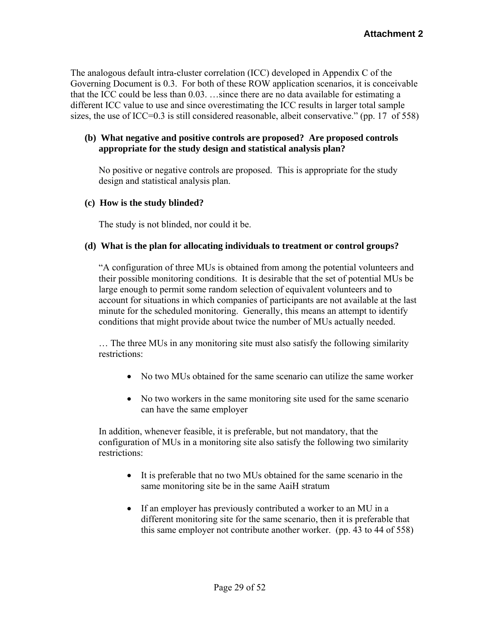The analogous default intra-cluster correlation (ICC) developed in Appendix C of the Governing Document is 0.3. For both of these ROW application scenarios, it is conceivable that the ICC could be less than 0.03. …since there are no data available for estimating a different ICC value to use and since overestimating the ICC results in larger total sample sizes, the use of ICC=0.3 is still considered reasonable, albeit conservative." (pp. 17 of 558)

### **(b) What negative and positive controls are proposed? Are proposed controls appropriate for the study design and statistical analysis plan?**

No positive or negative controls are proposed. This is appropriate for the study design and statistical analysis plan.

### **(c) How is the study blinded?**

The study is not blinded, nor could it be.

### **(d) What is the plan for allocating individuals to treatment or control groups?**

"A configuration of three MUs is obtained from among the potential volunteers and their possible monitoring conditions. It is desirable that the set of potential MUs be large enough to permit some random selection of equivalent volunteers and to account for situations in which companies of participants are not available at the last minute for the scheduled monitoring. Generally, this means an attempt to identify conditions that might provide about twice the number of MUs actually needed.

… The three MUs in any monitoring site must also satisfy the following similarity restrictions:

- No two MUs obtained for the same scenario can utilize the same worker
- No two workers in the same monitoring site used for the same scenario can have the same employer

In addition, whenever feasible, it is preferable, but not mandatory, that the configuration of MUs in a monitoring site also satisfy the following two similarity restrictions:

- It is preferable that no two MUs obtained for the same scenario in the same monitoring site be in the same AaiH stratum
- If an employer has previously contributed a worker to an MU in a different monitoring site for the same scenario, then it is preferable that this same employer not contribute another worker. (pp. 43 to 44 of 558)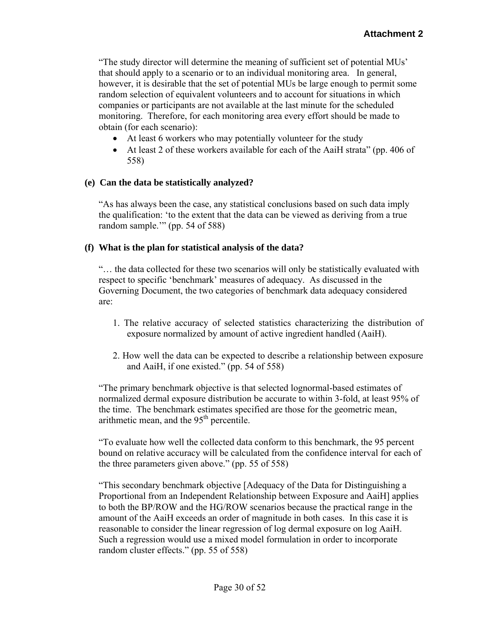"The study director will determine the meaning of sufficient set of potential MUs' that should apply to a scenario or to an individual monitoring area. In general, however, it is desirable that the set of potential MUs be large enough to permit some random selection of equivalent volunteers and to account for situations in which companies or participants are not available at the last minute for the scheduled monitoring. Therefore, for each monitoring area every effort should be made to obtain (for each scenario):

- At least 6 workers who may potentially volunteer for the study
- At least 2 of these workers available for each of the AaiH strata" (pp. 406 of 558)

# **(e) Can the data be statistically analyzed?**

"As has always been the case, any statistical conclusions based on such data imply the qualification: 'to the extent that the data can be viewed as deriving from a true random sample.'" (pp. 54 of 588)

# **(f) What is the plan for statistical analysis of the data?**

"… the data collected for these two scenarios will only be statistically evaluated with respect to specific 'benchmark' measures of adequacy. As discussed in the Governing Document, the two categories of benchmark data adequacy considered are:

- 1. The relative accuracy of selected statistics characterizing the distribution of exposure normalized by amount of active ingredient handled (AaiH).
- 2. How well the data can be expected to describe a relationship between exposure and AaiH, if one existed." (pp. 54 of 558)

"The primary benchmark objective is that selected lognormal-based estimates of normalized dermal exposure distribution be accurate to within 3-fold, at least 95% of the time. The benchmark estimates specified are those for the geometric mean, arithmetic mean, and the 95<sup>th</sup> percentile.

"To evaluate how well the collected data conform to this benchmark, the 95 percent bound on relative accuracy will be calculated from the confidence interval for each of the three parameters given above." (pp. 55 of 558)

"This secondary benchmark objective [Adequacy of the Data for Distinguishing a Proportional from an Independent Relationship between Exposure and AaiH] applies to both the BP/ROW and the HG/ROW scenarios because the practical range in the amount of the AaiH exceeds an order of magnitude in both cases. In this case it is reasonable to consider the linear regression of log dermal exposure on log AaiH. Such a regression would use a mixed model formulation in order to incorporate random cluster effects." (pp. 55 of 558)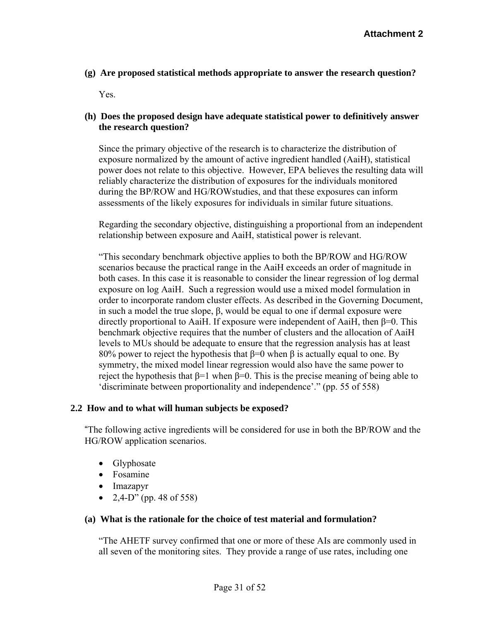#### **(g) Are proposed statistical methods appropriate to answer the research question?**

Yes.

### **(h) Does the proposed design have adequate statistical power to definitively answer the research question?**

Since the primary objective of the research is to characterize the distribution of exposure normalized by the amount of active ingredient handled (AaiH), statistical power does not relate to this objective. However, EPA believes the resulting data will reliably characterize the distribution of exposures for the individuals monitored during the BP/ROW and HG/ROWstudies, and that these exposures can inform assessments of the likely exposures for individuals in similar future situations.

Regarding the secondary objective, distinguishing a proportional from an independent relationship between exposure and AaiH, statistical power is relevant.

"This secondary benchmark objective applies to both the BP/ROW and HG/ROW scenarios because the practical range in the AaiH exceeds an order of magnitude in both cases. In this case it is reasonable to consider the linear regression of log dermal exposure on log AaiH. Such a regression would use a mixed model formulation in order to incorporate random cluster effects. As described in the Governing Document, in such a model the true slope, β, would be equal to one if dermal exposure were directly proportional to AaiH. If exposure were independent of AaiH, then β=0. This benchmark objective requires that the number of clusters and the allocation of AaiH levels to MUs should be adequate to ensure that the regression analysis has at least 80% power to reject the hypothesis that  $\beta$ =0 when  $\beta$  is actually equal to one. By symmetry, the mixed model linear regression would also have the same power to reject the hypothesis that  $β=1$  when  $β=0$ . This is the precise meaning of being able to 'discriminate between proportionality and independence'." (pp. 55 of 558)

#### **2.2 How and to what will human subjects be exposed?**

"The following active ingredients will be considered for use in both the BP/ROW and the HG/ROW application scenarios.

- Glyphosate
- Fosamine
- Imazapyr
- $2,4-D$ " (pp. 48 of 558)

#### **(a) What is the rationale for the choice of test material and formulation?**

"The AHETF survey confirmed that one or more of these AIs are commonly used in all seven of the monitoring sites. They provide a range of use rates, including one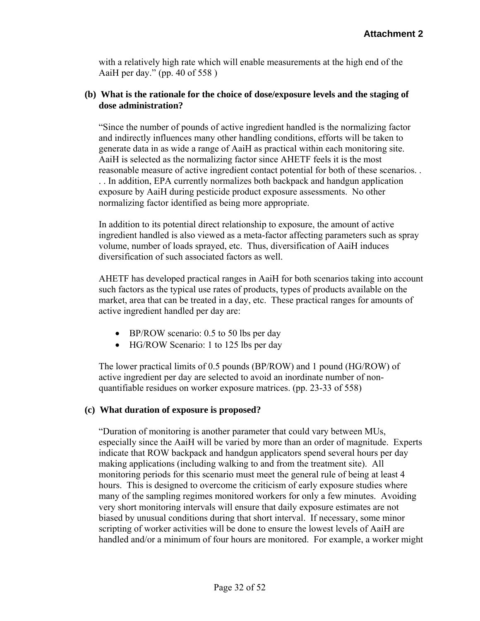with a relatively high rate which will enable measurements at the high end of the AaiH per day." (pp. 40 of 558 )

### **(b) What is the rationale for the choice of dose/exposure levels and the staging of dose administration?**

"Since the number of pounds of active ingredient handled is the normalizing factor and indirectly influences many other handling conditions, efforts will be taken to generate data in as wide a range of AaiH as practical within each monitoring site. AaiH is selected as the normalizing factor since AHETF feels it is the most reasonable measure of active ingredient contact potential for both of these scenarios. . . . In addition, EPA currently normalizes both backpack and handgun application exposure by AaiH during pesticide product exposure assessments. No other normalizing factor identified as being more appropriate.

In addition to its potential direct relationship to exposure, the amount of active ingredient handled is also viewed as a meta-factor affecting parameters such as spray volume, number of loads sprayed, etc. Thus, diversification of AaiH induces diversification of such associated factors as well.

AHETF has developed practical ranges in AaiH for both scenarios taking into account such factors as the typical use rates of products, types of products available on the market, area that can be treated in a day, etc. These practical ranges for amounts of active ingredient handled per day are:

- BP/ROW scenario: 0.5 to 50 lbs per day
- HG/ROW Scenario: 1 to 125 lbs per day

The lower practical limits of 0.5 pounds (BP/ROW) and 1 pound (HG/ROW) of active ingredient per day are selected to avoid an inordinate number of nonquantifiable residues on worker exposure matrices. (pp. 23-33 of 558)

# **(c) What duration of exposure is proposed?**

"Duration of monitoring is another parameter that could vary between MUs, especially since the AaiH will be varied by more than an order of magnitude. Experts indicate that ROW backpack and handgun applicators spend several hours per day making applications (including walking to and from the treatment site). All monitoring periods for this scenario must meet the general rule of being at least 4 hours. This is designed to overcome the criticism of early exposure studies where many of the sampling regimes monitored workers for only a few minutes. Avoiding very short monitoring intervals will ensure that daily exposure estimates are not biased by unusual conditions during that short interval. If necessary, some minor scripting of worker activities will be done to ensure the lowest levels of AaiH are handled and/or a minimum of four hours are monitored. For example, a worker might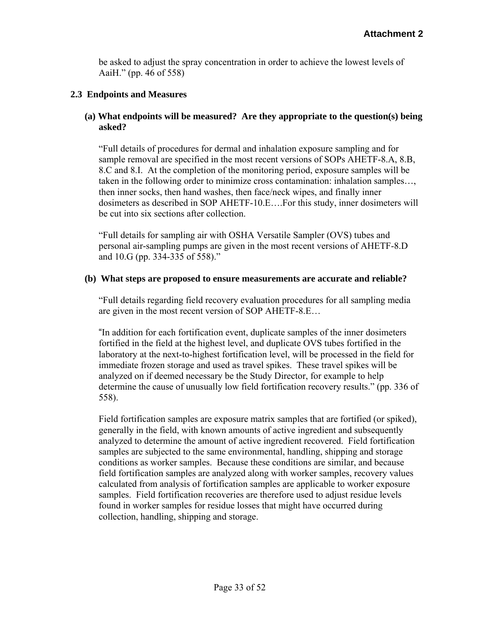be asked to adjust the spray concentration in order to achieve the lowest levels of AaiH." (pp. 46 of 558)

# **2.3 Endpoints and Measures**

# **(a) What endpoints will be measured? Are they appropriate to the question(s) being asked?**

"Full details of procedures for dermal and inhalation exposure sampling and for sample removal are specified in the most recent versions of SOPs AHETF-8.A, 8.B, 8.C and 8.I. At the completion of the monitoring period, exposure samples will be taken in the following order to minimize cross contamination: inhalation samples…, then inner socks, then hand washes, then face/neck wipes, and finally inner dosimeters as described in SOP AHETF-10.E….For this study, inner dosimeters will be cut into six sections after collection.

"Full details for sampling air with OSHA Versatile Sampler (OVS) tubes and personal air-sampling pumps are given in the most recent versions of AHETF-8.D and 10.G (pp. 334-335 of 558)."

### **(b) What steps are proposed to ensure measurements are accurate and reliable?**

"Full details regarding field recovery evaluation procedures for all sampling media are given in the most recent version of SOP AHETF-8.E…

"In addition for each fortification event, duplicate samples of the inner dosimeters fortified in the field at the highest level, and duplicate OVS tubes fortified in the laboratory at the next-to-highest fortification level, will be processed in the field for immediate frozen storage and used as travel spikes. These travel spikes will be analyzed on if deemed necessary be the Study Director, for example to help determine the cause of unusually low field fortification recovery results." (pp. 336 of 558).

Field fortification samples are exposure matrix samples that are fortified (or spiked), generally in the field, with known amounts of active ingredient and subsequently analyzed to determine the amount of active ingredient recovered. Field fortification samples are subjected to the same environmental, handling, shipping and storage conditions as worker samples. Because these conditions are similar, and because field fortification samples are analyzed along with worker samples, recovery values calculated from analysis of fortification samples are applicable to worker exposure samples. Field fortification recoveries are therefore used to adjust residue levels found in worker samples for residue losses that might have occurred during collection, handling, shipping and storage.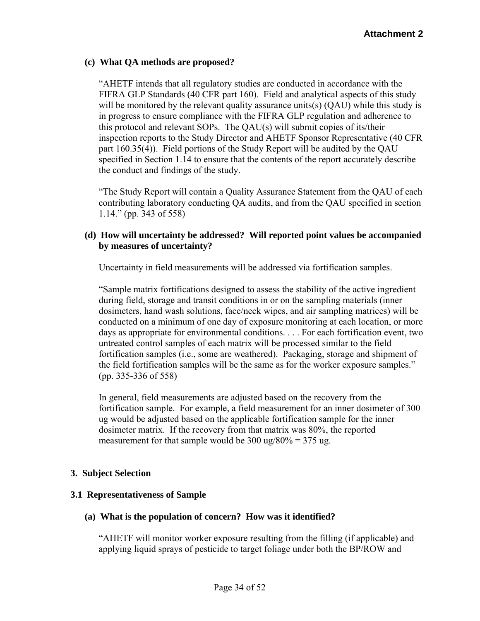### **(c) What QA methods are proposed?**

"AHETF intends that all regulatory studies are conducted in accordance with the FIFRA GLP Standards (40 CFR part 160). Field and analytical aspects of this study will be monitored by the relevant quality assurance units(s) (QAU) while this study is in progress to ensure compliance with the FIFRA GLP regulation and adherence to this protocol and relevant SOPs. The QAU(s) will submit copies of its/their inspection reports to the Study Director and AHETF Sponsor Representative (40 CFR part 160.35(4)). Field portions of the Study Report will be audited by the QAU specified in Section 1.14 to ensure that the contents of the report accurately describe the conduct and findings of the study.

"The Study Report will contain a Quality Assurance Statement from the QAU of each contributing laboratory conducting QA audits, and from the QAU specified in section 1.14." (pp. 343 of 558)

### **(d) How will uncertainty be addressed? Will reported point values be accompanied by measures of uncertainty?**

Uncertainty in field measurements will be addressed via fortification samples.

"Sample matrix fortifications designed to assess the stability of the active ingredient during field, storage and transit conditions in or on the sampling materials (inner dosimeters, hand wash solutions, face/neck wipes, and air sampling matrices) will be conducted on a minimum of one day of exposure monitoring at each location, or more days as appropriate for environmental conditions. . . . For each fortification event, two untreated control samples of each matrix will be processed similar to the field fortification samples (i.e., some are weathered). Packaging, storage and shipment of the field fortification samples will be the same as for the worker exposure samples." (pp. 335-336 of 558)

In general, field measurements are adjusted based on the recovery from the fortification sample. For example, a field measurement for an inner dosimeter of 300 ug would be adjusted based on the applicable fortification sample for the inner dosimeter matrix. If the recovery from that matrix was 80%, the reported measurement for that sample would be  $300 \text{ ug}/80\% = 375 \text{ ug}$ .

# **3. Subject Selection**

#### **3.1 Representativeness of Sample**

#### **(a) What is the population of concern? How was it identified?**

"AHETF will monitor worker exposure resulting from the filling (if applicable) and applying liquid sprays of pesticide to target foliage under both the BP/ROW and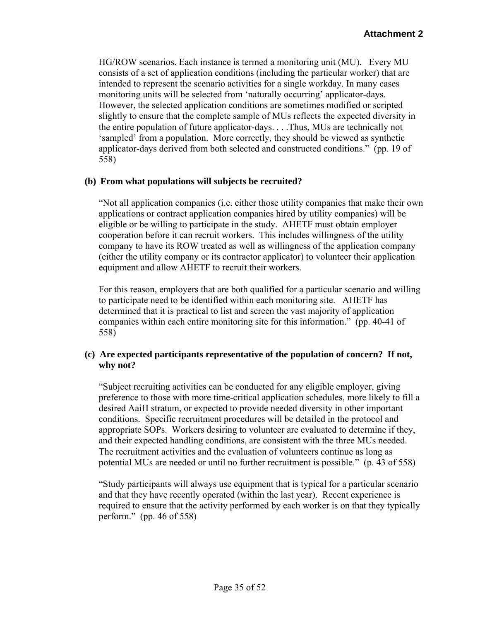HG/ROW scenarios. Each instance is termed a monitoring unit (MU). Every MU consists of a set of application conditions (including the particular worker) that are intended to represent the scenario activities for a single workday. In many cases monitoring units will be selected from 'naturally occurring' applicator-days. However, the selected application conditions are sometimes modified or scripted slightly to ensure that the complete sample of MUs reflects the expected diversity in the entire population of future applicator-days. . . .Thus, MUs are technically not 'sampled' from a population. More correctly, they should be viewed as synthetic applicator-days derived from both selected and constructed conditions." (pp. 19 of 558)

### **(b) From what populations will subjects be recruited?**

"Not all application companies (i.e. either those utility companies that make their own applications or contract application companies hired by utility companies) will be eligible or be willing to participate in the study. AHETF must obtain employer cooperation before it can recruit workers. This includes willingness of the utility company to have its ROW treated as well as willingness of the application company (either the utility company or its contractor applicator) to volunteer their application equipment and allow AHETF to recruit their workers.

For this reason, employers that are both qualified for a particular scenario and willing to participate need to be identified within each monitoring site. AHETF has determined that it is practical to list and screen the vast majority of application companies within each entire monitoring site for this information." (pp. 40-41 of 558)

### **(c) Are expected participants representative of the population of concern? If not, why not?**

"Subject recruiting activities can be conducted for any eligible employer, giving preference to those with more time-critical application schedules, more likely to fill a desired AaiH stratum, or expected to provide needed diversity in other important conditions. Specific recruitment procedures will be detailed in the protocol and appropriate SOPs. Workers desiring to volunteer are evaluated to determine if they, and their expected handling conditions, are consistent with the three MUs needed. The recruitment activities and the evaluation of volunteers continue as long as potential MUs are needed or until no further recruitment is possible." (p. 43 of 558)

"Study participants will always use equipment that is typical for a particular scenario and that they have recently operated (within the last year). Recent experience is required to ensure that the activity performed by each worker is on that they typically perform." (pp. 46 of 558)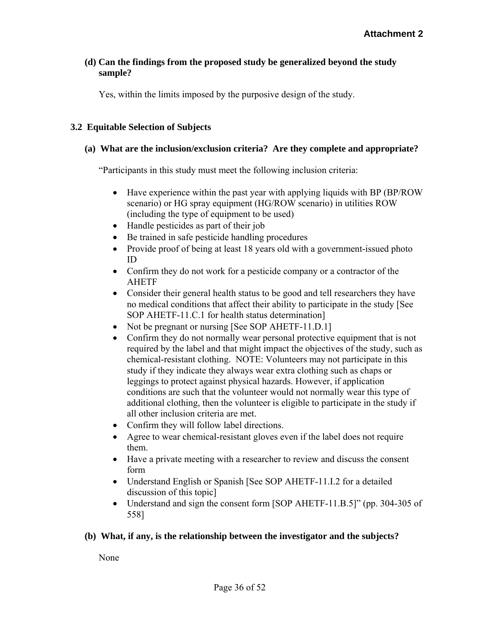# **(d) Can the findings from the proposed study be generalized beyond the study sample?**

Yes, within the limits imposed by the purposive design of the study.

# **3.2 Equitable Selection of Subjects**

### **(a) What are the inclusion/exclusion criteria? Are they complete and appropriate?**

"Participants in this study must meet the following inclusion criteria:

- Have experience within the past year with applying liquids with BP (BP/ROW) scenario) or HG spray equipment (HG/ROW scenario) in utilities ROW (including the type of equipment to be used)
- Handle pesticides as part of their job
- Be trained in safe pesticide handling procedures
- Provide proof of being at least 18 years old with a government-issued photo ID
- Confirm they do not work for a pesticide company or a contractor of the AHETF
- Consider their general health status to be good and tell researchers they have no medical conditions that affect their ability to participate in the study [See SOP AHETF-11.C.1 for health status determination]
- Not be pregnant or nursing [See SOP AHETF-11.D.1]
- Confirm they do not normally wear personal protective equipment that is not required by the label and that might impact the objectives of the study, such as chemical-resistant clothing. NOTE: Volunteers may not participate in this study if they indicate they always wear extra clothing such as chaps or leggings to protect against physical hazards. However, if application conditions are such that the volunteer would not normally wear this type of additional clothing, then the volunteer is eligible to participate in the study if all other inclusion criteria are met.
- Confirm they will follow label directions.
- Agree to wear chemical-resistant gloves even if the label does not require them.
- Have a private meeting with a researcher to review and discuss the consent form
- Understand English or Spanish [See SOP AHETF-11.I.2 for a detailed discussion of this topic]
- Understand and sign the consent form [SOP AHETF-11.B.5]" (pp. 304-305 of 558]

#### **(b) What, if any, is the relationship between the investigator and the subjects?**

None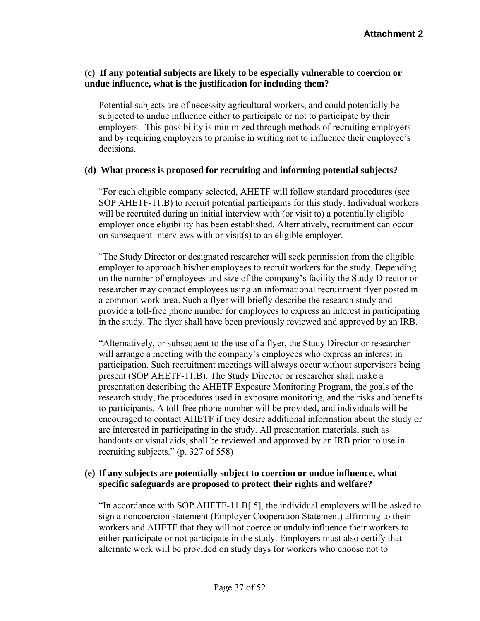# **(c) If any potential subjects are likely to be especially vulnerable to coercion or undue influence, what is the justification for including them?**

Potential subjects are of necessity agricultural workers, and could potentially be subjected to undue influence either to participate or not to participate by their employers. This possibility is minimized through methods of recruiting employers and by requiring employers to promise in writing not to influence their employee's decisions.

### **(d) What process is proposed for recruiting and informing potential subjects?**

"For each eligible company selected, AHETF will follow standard procedures (see SOP AHETF-11.B) to recruit potential participants for this study. Individual workers will be recruited during an initial interview with (or visit to) a potentially eligible employer once eligibility has been established. Alternatively, recruitment can occur on subsequent interviews with or visit(s) to an eligible employer.

"The Study Director or designated researcher will seek permission from the eligible employer to approach his/her employees to recruit workers for the study. Depending on the number of employees and size of the company's facility the Study Director or researcher may contact employees using an informational recruitment flyer posted in a common work area. Such a flyer will briefly describe the research study and provide a toll-free phone number for employees to express an interest in participating in the study. The flyer shall have been previously reviewed and approved by an IRB.

"Alternatively, or subsequent to the use of a flyer, the Study Director or researcher will arrange a meeting with the company's employees who express an interest in participation. Such recruitment meetings will always occur without supervisors being present (SOP AHETF-11.B). The Study Director or researcher shall make a presentation describing the AHETF Exposure Monitoring Program, the goals of the research study, the procedures used in exposure monitoring, and the risks and benefits to participants. A toll-free phone number will be provided, and individuals will be encouraged to contact AHETF if they desire additional information about the study or are interested in participating in the study. All presentation materials, such as handouts or visual aids, shall be reviewed and approved by an IRB prior to use in recruiting subjects." (p. 327 of 558)

### **(e) If any subjects are potentially subject to coercion or undue influence, what specific safeguards are proposed to protect their rights and welfare?**

"In accordance with SOP AHETF-11.B[.5], the individual employers will be asked to sign a noncoercion statement (Employer Cooperation Statement) affirming to their workers and AHETF that they will not coerce or unduly influence their workers to either participate or not participate in the study. Employers must also certify that alternate work will be provided on study days for workers who choose not to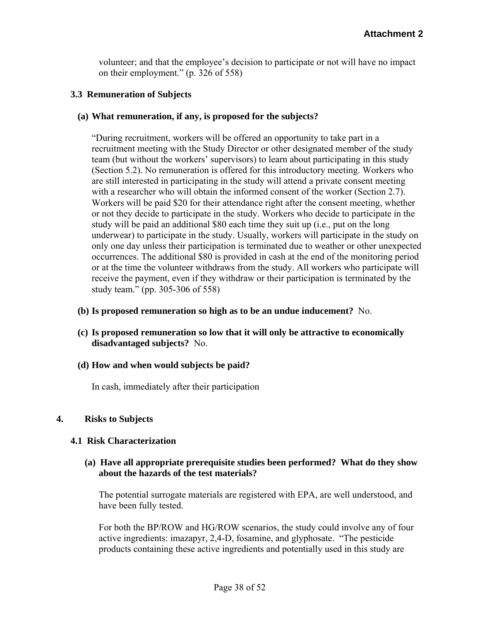volunteer; and that the employee's decision to participate or not will have no impact on their employment." (p. 326 of 558)

### **3.3 Remuneration of Subjects**

#### **(a) What remuneration, if any, is proposed for the subjects?**

"During recruitment, workers will be offered an opportunity to take part in a recruitment meeting with the Study Director or other designated member of the study team (but without the workers' supervisors) to learn about participating in this study (Section 5.2). No remuneration is offered for this introductory meeting. Workers who are still interested in participating in the study will attend a private consent meeting with a researcher who will obtain the informed consent of the worker (Section 2.7). Workers will be paid \$20 for their attendance right after the consent meeting, whether or not they decide to participate in the study. Workers who decide to participate in the study will be paid an additional \$80 each time they suit up (i.e., put on the long underwear) to participate in the study. Usually, workers will participate in the study on only one day unless their participation is terminated due to weather or other unexpected occurrences. The additional \$80 is provided in cash at the end of the monitoring period or at the time the volunteer withdraws from the study. All workers who participate will receive the payment, even if they withdraw or their participation is terminated by the study team." (pp. 305-306 of 558)

- **(b) Is proposed remuneration so high as to be an undue inducement?** No.
- **(c) Is proposed remuneration so low that it will only be attractive to economically disadvantaged subjects?** No.
- **(d) How and when would subjects be paid?**

In cash, immediately after their participation

#### **4. Risks to Subjects**

#### **4.1 Risk Characterization**

#### **(a) Have all appropriate prerequisite studies been performed? What do they show about the hazards of the test materials?**

The potential surrogate materials are registered with EPA, are well understood, and have been fully tested.

For both the BP/ROW and HG/ROW scenarios, the study could involve any of four active ingredients: imazapyr, 2,4-D, fosamine, and glyphosate. "The pesticide products containing these active ingredients and potentially used in this study are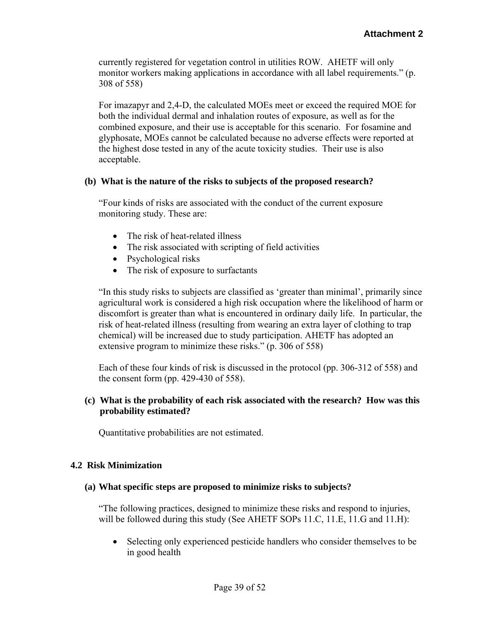currently registered for vegetation control in utilities ROW. AHETF will only monitor workers making applications in accordance with all label requirements." (p. 308 of 558)

For imazapyr and 2,4-D, the calculated MOEs meet or exceed the required MOE for both the individual dermal and inhalation routes of exposure, as well as for the combined exposure, and their use is acceptable for this scenario. For fosamine and glyphosate, MOEs cannot be calculated because no adverse effects were reported at the highest dose tested in any of the acute toxicity studies. Their use is also acceptable.

### **(b) What is the nature of the risks to subjects of the proposed research?**

"Four kinds of risks are associated with the conduct of the current exposure monitoring study. These are:

- The risk of heat-related illness
- The risk associated with scripting of field activities
- Psychological risks
- The risk of exposure to surfactants

"In this study risks to subjects are classified as 'greater than minimal', primarily since agricultural work is considered a high risk occupation where the likelihood of harm or discomfort is greater than what is encountered in ordinary daily life. In particular, the risk of heat-related illness (resulting from wearing an extra layer of clothing to trap chemical) will be increased due to study participation. AHETF has adopted an extensive program to minimize these risks." (p. 306 of 558)

Each of these four kinds of risk is discussed in the protocol (pp. 306-312 of 558) and the consent form (pp. 429-430 of 558).

### **(c) What is the probability of each risk associated with the research? How was this probability estimated?**

Quantitative probabilities are not estimated.

# **4.2 Risk Minimization**

#### **(a) What specific steps are proposed to minimize risks to subjects?**

"The following practices, designed to minimize these risks and respond to injuries, will be followed during this study (See AHETF SOPs 11.C, 11.E, 11.G and 11.H):

• Selecting only experienced pesticide handlers who consider themselves to be in good health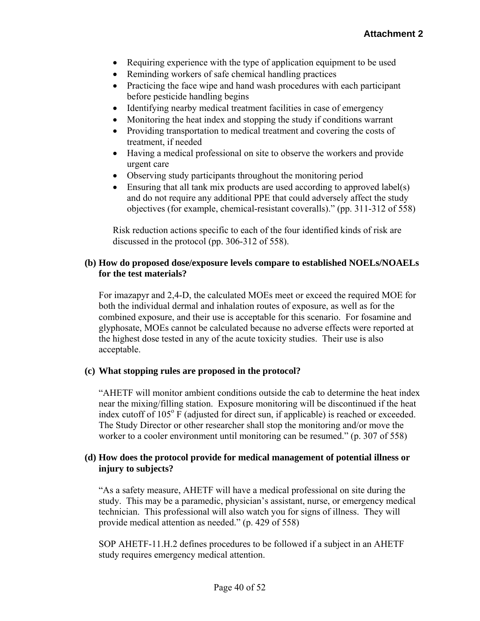- Requiring experience with the type of application equipment to be used
- Reminding workers of safe chemical handling practices
- Practicing the face wipe and hand wash procedures with each participant before pesticide handling begins
- Identifying nearby medical treatment facilities in case of emergency
- Monitoring the heat index and stopping the study if conditions warrant
- Providing transportation to medical treatment and covering the costs of treatment, if needed
- Having a medical professional on site to observe the workers and provide urgent care
- Observing study participants throughout the monitoring period
- Ensuring that all tank mix products are used according to approved label(s) and do not require any additional PPE that could adversely affect the study objectives (for example, chemical-resistant coveralls)." (pp. 311-312 of 558)

Risk reduction actions specific to each of the four identified kinds of risk are discussed in the protocol (pp. 306-312 of 558).

### **(b) How do proposed dose/exposure levels compare to established NOELs/NOAELs for the test materials?**

For imazapyr and 2,4-D, the calculated MOEs meet or exceed the required MOE for both the individual dermal and inhalation routes of exposure, as well as for the combined exposure, and their use is acceptable for this scenario. For fosamine and glyphosate, MOEs cannot be calculated because no adverse effects were reported at the highest dose tested in any of the acute toxicity studies. Their use is also acceptable.

#### **(c) What stopping rules are proposed in the protocol?**

"AHETF will monitor ambient conditions outside the cab to determine the heat index near the mixing/filling station. Exposure monitoring will be discontinued if the heat index cutoff of  $105^{\circ}$  F (adjusted for direct sun, if applicable) is reached or exceeded. The Study Director or other researcher shall stop the monitoring and/or move the worker to a cooler environment until monitoring can be resumed." (p. 307 of 558)

#### **(d) How does the protocol provide for medical management of potential illness or injury to subjects?**

"As a safety measure, AHETF will have a medical professional on site during the study. This may be a paramedic, physician's assistant, nurse, or emergency medical technician. This professional will also watch you for signs of illness. They will provide medical attention as needed." (p. 429 of 558)

SOP AHETF-11.H.2 defines procedures to be followed if a subject in an AHETF study requires emergency medical attention.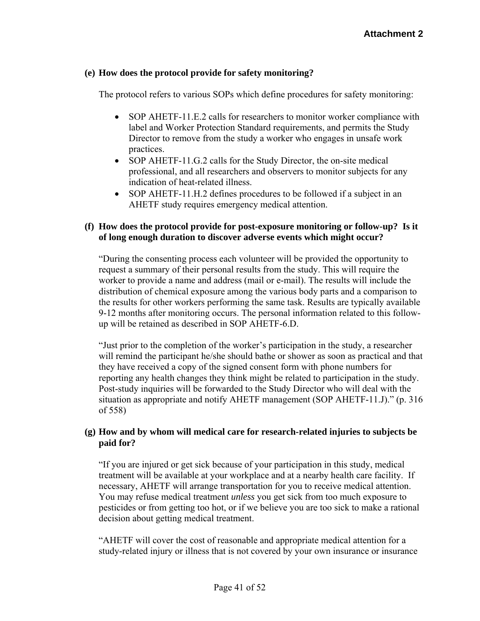### **(e) How does the protocol provide for safety monitoring?**

The protocol refers to various SOPs which define procedures for safety monitoring:

- SOP AHETF-11.E.2 calls for researchers to monitor worker compliance with label and Worker Protection Standard requirements, and permits the Study Director to remove from the study a worker who engages in unsafe work practices.
- SOP AHETF-11.G.2 calls for the Study Director, the on-site medical professional, and all researchers and observers to monitor subjects for any indication of heat-related illness.
- SOP AHETF-11.H.2 defines procedures to be followed if a subject in an AHETF study requires emergency medical attention.

# **(f) How does the protocol provide for post-exposure monitoring or follow-up? Is it of long enough duration to discover adverse events which might occur?**

"During the consenting process each volunteer will be provided the opportunity to request a summary of their personal results from the study. This will require the worker to provide a name and address (mail or e-mail). The results will include the distribution of chemical exposure among the various body parts and a comparison to the results for other workers performing the same task. Results are typically available 9-12 months after monitoring occurs. The personal information related to this followup will be retained as described in SOP AHETF-6.D.

 of 558) "Just prior to the completion of the worker's participation in the study, a researcher will remind the participant he/she should bathe or shower as soon as practical and that they have received a copy of the signed consent form with phone numbers for reporting any health changes they think might be related to participation in the study. Post-study inquiries will be forwarded to the Study Director who will deal with the situation as appropriate and notify AHETF management (SOP AHETF-11.J)." (p. 316

### **(g) How and by whom will medical care for research-related injuries to subjects be paid for?**

"If you are injured or get sick because of your participation in this study, medical treatment will be available at your workplace and at a nearby health care facility. If necessary, AHETF will arrange transportation for you to receive medical attention. You may refuse medical treatment *unless* you get sick from too much exposure to pesticides or from getting too hot, or if we believe you are too sick to make a rational decision about getting medical treatment.

"AHETF will cover the cost of reasonable and appropriate medical attention for a study-related injury or illness that is not covered by your own insurance or insurance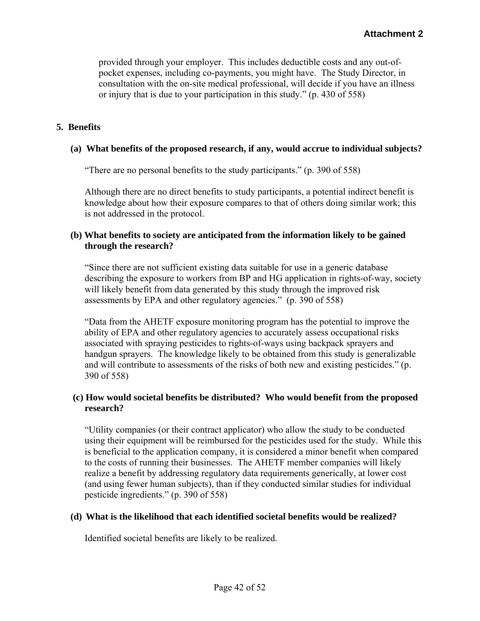provided through your employer. This includes deductible costs and any out-ofpocket expenses, including co-payments, you might have. The Study Director, in consultation with the on-site medical professional, will decide if you have an illness or injury that is due to your participation in this study." (p. 430 of 558)

### **5. Benefits**

#### **(a) What benefits of the proposed research, if any, would accrue to individual subjects?**

"There are no personal benefits to the study participants." (p. 390 of 558)

Although there are no direct benefits to study participants, a potential indirect benefit is knowledge about how their exposure compares to that of others doing similar work; this is not addressed in the protocol.

### **(b) What benefits to society are anticipated from the information likely to be gained through the research?**

"Since there are not sufficient existing data suitable for use in a generic database describing the exposure to workers from BP and HG application in rights-of-way, society will likely benefit from data generated by this study through the improved risk assessments by EPA and other regulatory agencies." (p. 390 of 558)

"Data from the AHETF exposure monitoring program has the potential to improve the ability of EPA and other regulatory agencies to accurately assess occupational risks associated with spraying pesticides to rights-of-ways using backpack sprayers and handgun sprayers. The knowledge likely to be obtained from this study is generalizable and will contribute to assessments of the risks of both new and existing pesticides." (p. 390 of 558)

# **(c) How would societal benefits be distributed? Who would benefit from the proposed research?**

"Utility companies (or their contract applicator) who allow the study to be conducted using their equipment will be reimbursed for the pesticides used for the study. While this is beneficial to the application company, it is considered a minor benefit when compared to the costs of running their businesses. The AHETF member companies will likely realize a benefit by addressing regulatory data requirements generically, at lower cost (and using fewer human subjects), than if they conducted similar studies for individual pesticide ingredients." (p. 390 of 558)

#### **(d) What is the likelihood that each identified societal benefits would be realized?**

Identified societal benefits are likely to be realized.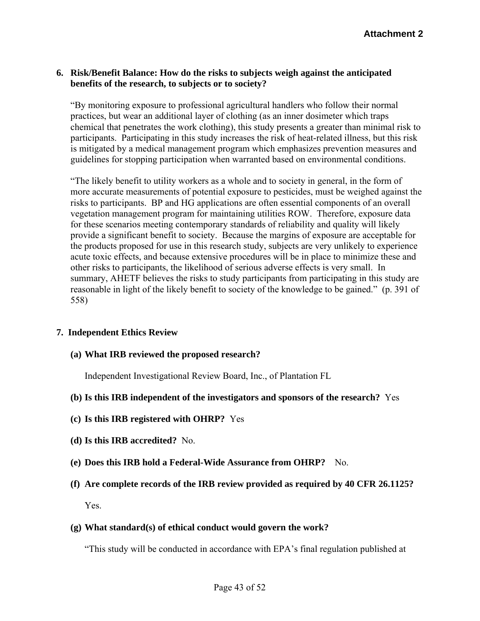# **6. Risk/Benefit Balance: How do the risks to subjects weigh against the anticipated benefits of the research, to subjects or to society?**

"By monitoring exposure to professional agricultural handlers who follow their normal practices, but wear an additional layer of clothing (as an inner dosimeter which traps chemical that penetrates the work clothing), this study presents a greater than minimal risk to participants. Participating in this study increases the risk of heat-related illness, but this risk is mitigated by a medical management program which emphasizes prevention measures and guidelines for stopping participation when warranted based on environmental conditions.

"The likely benefit to utility workers as a whole and to society in general, in the form of more accurate measurements of potential exposure to pesticides, must be weighed against the risks to participants. BP and HG applications are often essential components of an overall vegetation management program for maintaining utilities ROW. Therefore, exposure data for these scenarios meeting contemporary standards of reliability and quality will likely provide a significant benefit to society. Because the margins of exposure are acceptable for the products proposed for use in this research study, subjects are very unlikely to experience acute toxic effects, and because extensive procedures will be in place to minimize these and other risks to participants, the likelihood of serious adverse effects is very small. In summary, AHETF believes the risks to study participants from participating in this study are reasonable in light of the likely benefit to society of the knowledge to be gained." (p. 391 of 558)

# **7. Independent Ethics Review**

#### **(a) What IRB reviewed the proposed research?**

Independent Investigational Review Board, Inc., of Plantation FL

# **(b) Is this IRB independent of the investigators and sponsors of the research?** Yes

- **(c) Is this IRB registered with OHRP?** Yes
- **(d) Is this IRB accredited?** No.
- **(e) Does this IRB hold a Federal-Wide Assurance from OHRP?** No.
- **(f) Are complete records of the IRB review provided as required by 40 CFR 26.1125?**  Yes.

# **(g) What standard(s) of ethical conduct would govern the work?**

"This study will be conducted in accordance with EPA's final regulation published at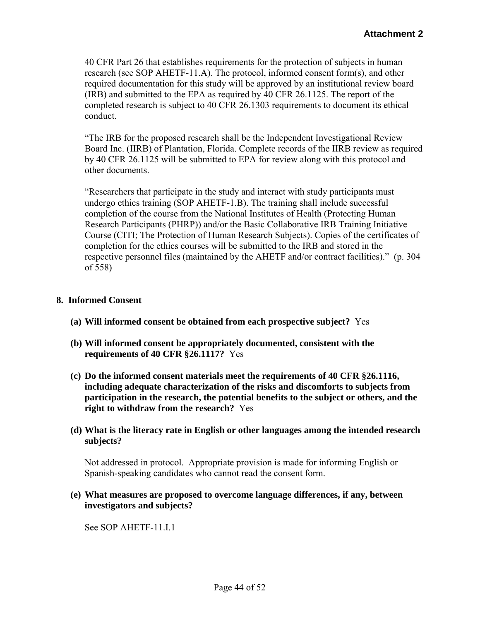40 CFR Part 26 that establishes requirements for the protection of subjects in human research (see SOP AHETF-11.A). The protocol, informed consent form(s), and other required documentation for this study will be approved by an institutional review board (IRB) and submitted to the EPA as required by 40 CFR 26.1125. The report of the completed research is subject to 40 CFR 26.1303 requirements to document its ethical conduct.

"The IRB for the proposed research shall be the Independent Investigational Review Board Inc. (IIRB) of Plantation, Florida. Complete records of the IIRB review as required by 40 CFR 26.1125 will be submitted to EPA for review along with this protocol and other documents.

"Researchers that participate in the study and interact with study participants must undergo ethics training (SOP AHETF-1.B). The training shall include successful completion of the course from the National Institutes of Health (Protecting Human Research Participants (PHRP)) and/or the Basic Collaborative IRB Training Initiative Course (CITI; The Protection of Human Research Subjects). Copies of the certificates of completion for the ethics courses will be submitted to the IRB and stored in the respective personnel files (maintained by the AHETF and/or contract facilities)." (p. 304 of 558)

### **8. Informed Consent**

- **(a) Will informed consent be obtained from each prospective subject?** Yes
- **(b) Will informed consent be appropriately documented, consistent with the requirements of 40 CFR §26.1117?** Yes
- **(c) Do the informed consent materials meet the requirements of 40 CFR §26.1116, including adequate characterization of the risks and discomforts to subjects from participation in the research, the potential benefits to the subject or others, and the right to withdraw from the research?** Yes
- **subjects? (d) What is the literacy rate in English or other languages among the intended research**

Not addressed in protocol. Appropriate provision is made for informing English or Spanish-speaking candidates who cannot read the consent form.

 **investigators and subjects? (e) What measures are proposed to overcome language differences, if any, between** 

See SOP AHETF-11.I.1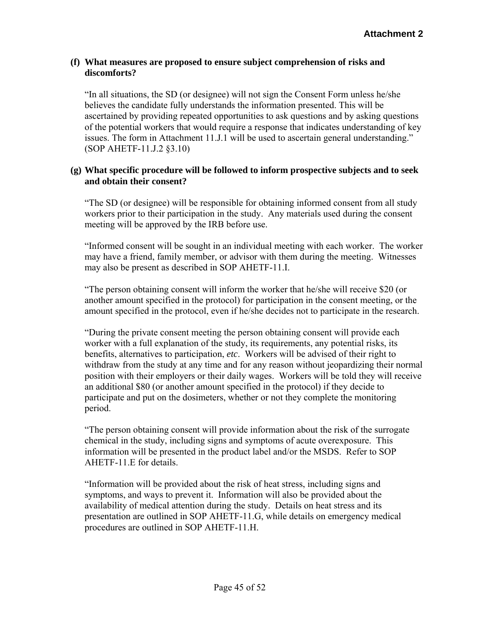### **(f) What measures are proposed to ensure subject comprehension of risks and discomforts?**

"In all situations, the SD (or designee) will not sign the Consent Form unless he/she believes the candidate fully understands the information presented. This will be ascertained by providing repeated opportunities to ask questions and by asking questions of the potential workers that would require a response that indicates understanding of key issues. The form in Attachment 11.J.1 will be used to ascertain general understanding." (SOP AHETF-11.J.2 §3.10)

### **(g) What specific procedure will be followed to inform prospective subjects and to seek and obtain their consent?**

"The SD (or designee) will be responsible for obtaining informed consent from all study workers prior to their participation in the study. Any materials used during the consent meeting will be approved by the IRB before use.

"Informed consent will be sought in an individual meeting with each worker. The worker may have a friend, family member, or advisor with them during the meeting. Witnesses may also be present as described in SOP AHETF-11.I.

"The person obtaining consent will inform the worker that he/she will receive \$20 (or another amount specified in the protocol) for participation in the consent meeting, or the amount specified in the protocol, even if he/she decides not to participate in the research.

"During the private consent meeting the person obtaining consent will provide each worker with a full explanation of the study, its requirements, any potential risks, its benefits, alternatives to participation, *etc*. Workers will be advised of their right to withdraw from the study at any time and for any reason without jeopardizing their normal position with their employers or their daily wages. Workers will be told they will receive an additional \$80 (or another amount specified in the protocol) if they decide to participate and put on the dosimeters, whether or not they complete the monitoring period.

"The person obtaining consent will provide information about the risk of the surrogate chemical in the study, including signs and symptoms of acute overexposure. This information will be presented in the product label and/or the MSDS. Refer to SOP AHETF-11 E for details.

"Information will be provided about the risk of heat stress, including signs and symptoms, and ways to prevent it. Information will also be provided about the availability of medical attention during the study. Details on heat stress and its presentation are outlined in SOP AHETF-11.G, while details on emergency medical procedures are outlined in SOP AHETF-11.H.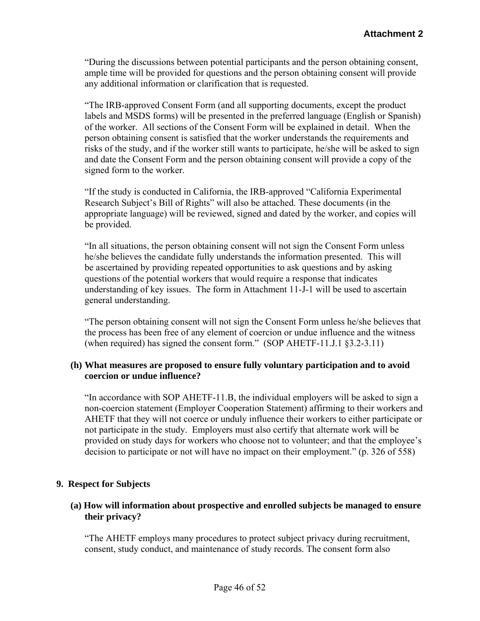"During the discussions between potential participants and the person obtaining consent, ample time will be provided for questions and the person obtaining consent will provide any additional information or clarification that is requested.

"The IRB-approved Consent Form (and all supporting documents, except the product labels and MSDS forms) will be presented in the preferred language (English or Spanish) of the worker. All sections of the Consent Form will be explained in detail. When the person obtaining consent is satisfied that the worker understands the requirements and risks of the study, and if the worker still wants to participate, he/she will be asked to sign and date the Consent Form and the person obtaining consent will provide a copy of the signed form to the worker.

"If the study is conducted in California, the IRB-approved "California Experimental Research Subject's Bill of Rights" will also be attached. These documents (in the appropriate language) will be reviewed, signed and dated by the worker, and copies will be provided.

"In all situations, the person obtaining consent will not sign the Consent Form unless he/she believes the candidate fully understands the information presented. This will be ascertained by providing repeated opportunities to ask questions and by asking questions of the potential workers that would require a response that indicates understanding of key issues. The form in Attachment 11-J-1 will be used to ascertain general understanding.

"The person obtaining consent will not sign the Consent Form unless he/she believes that the process has been free of any element of coercion or undue influence and the witness (when required) has signed the consent form." (SOP AHETF-11.J.1 §[3.2-3.11\)](https://3.2-3.11)

### **(h) What measures are proposed to ensure fully voluntary participation and to avoid coercion or undue influence?**

"In accordance with SOP AHETF-11.B, the individual employers will be asked to sign a non-coercion statement (Employer Cooperation Statement) affirming to their workers and AHETF that they will not coerce or unduly influence their workers to either participate or not participate in the study. Employers must also certify that alternate work will be provided on study days for workers who choose not to volunteer; and that the employee's decision to participate or not will have no impact on their employment." (p. 326 of 558)

# **9. Respect for Subjects**

# **(a) How will information about prospective and enrolled subjects be managed to ensure their privacy?**

"The AHETF employs many procedures to protect subject privacy during recruitment, consent, study conduct, and maintenance of study records. The consent form also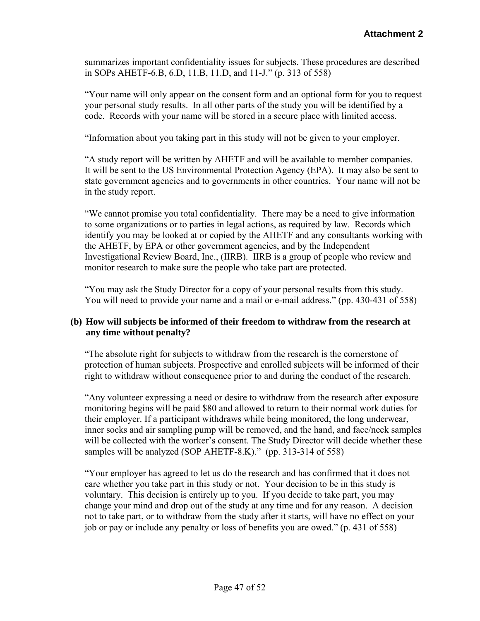summarizes important confidentiality issues for subjects. These procedures are described in SOPs AHETF-6.B, 6.D, 11.B, 11.D, and 11-J." (p. 313 of 558)

"Your name will only appear on the consent form and an optional form for you to request your personal study results. In all other parts of the study you will be identified by a code. Records with your name will be stored in a secure place with limited access.

"Information about you taking part in this study will not be given to your employer.

"A study report will be written by AHETF and will be available to member companies. It will be sent to the US Environmental Protection Agency (EPA). It may also be sent to state government agencies and to governments in other countries. Your name will not be in the study report.

"We cannot promise you total confidentiality. There may be a need to give information to some organizations or to parties in legal actions, as required by law. Records which identify you may be looked at or copied by the AHETF and any consultants working with the AHETF, by EPA or other government agencies, and by the Independent Investigational Review Board, Inc., (IIRB). IIRB is a group of people who review and monitor research to make sure the people who take part are protected.

"You may ask the Study Director for a copy of your personal results from this study. You will need to provide your name and a mail or e-mail address." (pp. 430-431 of 558)

### **(b) How will subjects be informed of their freedom to withdraw from the research at any time without penalty?**

"The absolute right for subjects to withdraw from the research is the cornerstone of protection of human subjects. Prospective and enrolled subjects will be informed of their right to withdraw without consequence prior to and during the conduct of the research.

"Any volunteer expressing a need or desire to withdraw from the research after exposure monitoring begins will be paid \$80 and allowed to return to their normal work duties for their employer. If a participant withdraws while being monitored, the long underwear, inner socks and air sampling pump will be removed, and the hand, and face/neck samples will be collected with the worker's consent. The Study Director will decide whether these samples will be analyzed (SOP AHETF-8.K)." (pp. 313-314 of 558)

"Your employer has agreed to let us do the research and has confirmed that it does not care whether you take part in this study or not. Your decision to be in this study is voluntary. This decision is entirely up to you. If you decide to take part, you may change your mind and drop out of the study at any time and for any reason. A decision not to take part, or to withdraw from the study after it starts, will have no effect on your job or pay or include any penalty or loss of benefits you are owed." (p. 431 of 558)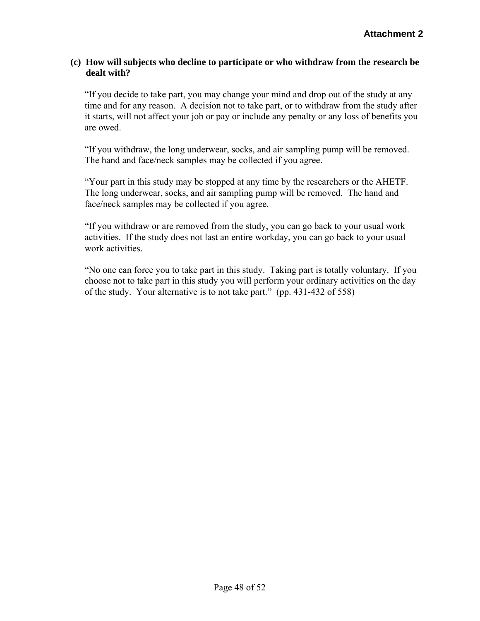#### **(c) How will subjects who decline to participate or who withdraw from the research be dealt with?**

"If you decide to take part, you may change your mind and drop out of the study at any time and for any reason. A decision not to take part, or to withdraw from the study after it starts, will not affect your job or pay or include any penalty or any loss of benefits you are owed.

"If you withdraw, the long underwear, socks, and air sampling pump will be removed. The hand and face/neck samples may be collected if you agree.

"Your part in this study may be stopped at any time by the researchers or the AHETF. The long underwear, socks, and air sampling pump will be removed. The hand and face/neck samples may be collected if you agree.

"If you withdraw or are removed from the study, you can go back to your usual work activities. If the study does not last an entire workday, you can go back to your usual work activities.

"No one can force you to take part in this study. Taking part is totally voluntary. If you choose not to take part in this study you will perform your ordinary activities on the day of the study. Your alternative is to not take part." (pp. 431-432 of 558)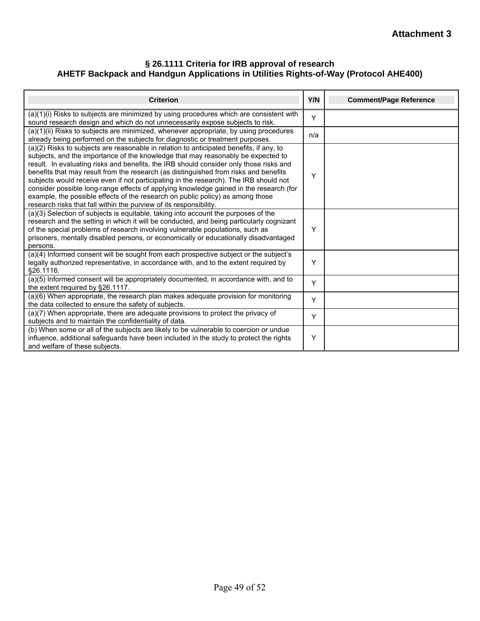#### **§ 26.1111 Criteria for IRB approval of research AHETF Backpack and Handgun Applications in Utilities Rights-of-Way (Protocol AHE400)**

| <b>Criterion</b>                                                                                                                                                                                                                                                                                                                                                                                                                                                                                                                                                                                                                                                                                         | Y/N | <b>Comment/Page Reference</b> |
|----------------------------------------------------------------------------------------------------------------------------------------------------------------------------------------------------------------------------------------------------------------------------------------------------------------------------------------------------------------------------------------------------------------------------------------------------------------------------------------------------------------------------------------------------------------------------------------------------------------------------------------------------------------------------------------------------------|-----|-------------------------------|
| (a)(1)(i) Risks to subjects are minimized by using procedures which are consistent with<br>sound research design and which do not unnecessarily expose subjects to risk.                                                                                                                                                                                                                                                                                                                                                                                                                                                                                                                                 | Y   |                               |
| (a)(1)(ii) Risks to subjects are minimized, whenever appropriate, by using procedures<br>already being performed on the subjects for diagnostic or treatment purposes.                                                                                                                                                                                                                                                                                                                                                                                                                                                                                                                                   | n/a |                               |
| (a)(2) Risks to subjects are reasonable in relation to anticipated benefits, if any, to<br>subjects, and the importance of the knowledge that may reasonably be expected to<br>result. In evaluating risks and benefits, the IRB should consider only those risks and<br>benefits that may result from the research (as distinguished from risks and benefits<br>subjects would receive even if not participating in the research). The IRB should not<br>consider possible long-range effects of applying knowledge gained in the research (for<br>example, the possible effects of the research on public policy) as among those<br>research risks that fall within the purview of its responsibility. | Υ   |                               |
| (a)(3) Selection of subjects is equitable, taking into account the purposes of the<br>research and the setting in which it will be conducted, and being particularly cognizant<br>of the special problems of research involving vulnerable populations, such as<br>prisoners, mentally disabled persons, or economically or educationally disadvantaged<br>persons.                                                                                                                                                                                                                                                                                                                                      | Υ   |                               |
| (a)(4) Informed consent will be sought from each prospective subject or the subject's<br>legally authorized representative, in accordance with, and to the extent required by<br>§26.1116.                                                                                                                                                                                                                                                                                                                                                                                                                                                                                                               | Y   |                               |
| (a)(5) Informed consent will be appropriately documented, in accordance with, and to<br>the extent required by §26.1117.                                                                                                                                                                                                                                                                                                                                                                                                                                                                                                                                                                                 | Y   |                               |
| (a)(6) When appropriate, the research plan makes adequate provision for monitoring<br>the data collected to ensure the safety of subjects.                                                                                                                                                                                                                                                                                                                                                                                                                                                                                                                                                               | Y   |                               |
| (a)(7) When appropriate, there are adequate provisions to protect the privacy of<br>subjects and to maintain the confidentiality of data.                                                                                                                                                                                                                                                                                                                                                                                                                                                                                                                                                                | Y   |                               |
| (b) When some or all of the subjects are likely to be vulnerable to coercion or undue<br>influence, additional safeguards have been included in the study to protect the rights<br>and welfare of these subjects.                                                                                                                                                                                                                                                                                                                                                                                                                                                                                        | Y   |                               |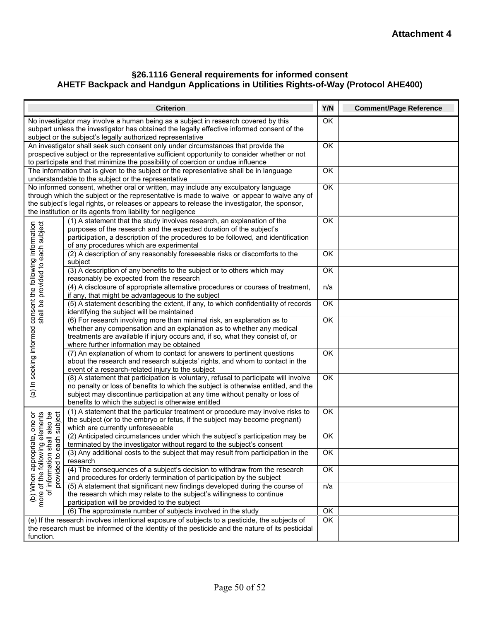#### **§26.1116 General requirements for informed consent AHETF Backpack and Handgun Applications in Utilities Rights-of-Way (Protocol AHE400)**

| <b>Criterion</b>                                                                                                                                                                                                                                                    |                                                                                                                                                                                                                                                                                                                                                 | Y/N             | <b>Comment/Page Reference</b> |
|---------------------------------------------------------------------------------------------------------------------------------------------------------------------------------------------------------------------------------------------------------------------|-------------------------------------------------------------------------------------------------------------------------------------------------------------------------------------------------------------------------------------------------------------------------------------------------------------------------------------------------|-----------------|-------------------------------|
| No investigator may involve a human being as a subject in research covered by this<br>subpart unless the investigator has obtained the legally effective informed consent of the<br>subject or the subject's legally authorized representative                      |                                                                                                                                                                                                                                                                                                                                                 | OK              |                               |
| An investigator shall seek such consent only under circumstances that provide the<br>prospective subject or the representative sufficient opportunity to consider whether or not<br>to participate and that minimize the possibility of coercion or undue influence |                                                                                                                                                                                                                                                                                                                                                 | OK              |                               |
|                                                                                                                                                                                                                                                                     | The information that is given to the subject or the representative shall be in language<br>understandable to the subject or the representative                                                                                                                                                                                                  | OK              |                               |
|                                                                                                                                                                                                                                                                     | No informed consent, whether oral or written, may include any exculpatory language<br>through which the subject or the representative is made to waive or appear to waive any of<br>the subject's legal rights, or releases or appears to release the investigator, the sponsor,<br>the institution or its agents from liability for negligence | OK              |                               |
|                                                                                                                                                                                                                                                                     | (1) A statement that the study involves research, an explanation of the<br>purposes of the research and the expected duration of the subject's<br>participation, a description of the procedures to be followed, and identification<br>of any procedures which are experimental                                                                 | OK              |                               |
|                                                                                                                                                                                                                                                                     | (2) A description of any reasonably foreseeable risks or discomforts to the<br>subject                                                                                                                                                                                                                                                          | OK              |                               |
|                                                                                                                                                                                                                                                                     | (3) A description of any benefits to the subject or to others which may<br>reasonably be expected from the research                                                                                                                                                                                                                             | OK              |                               |
|                                                                                                                                                                                                                                                                     | (4) A disclosure of appropriate alternative procedures or courses of treatment,<br>if any, that might be advantageous to the subject                                                                                                                                                                                                            | n/a             |                               |
|                                                                                                                                                                                                                                                                     | (5) A statement describing the extent, if any, to which confidentiality of records<br>identifying the subject will be maintained                                                                                                                                                                                                                | $\overline{OK}$ |                               |
| (a) In seeking informed consent the following information<br>shall be provided to each subject                                                                                                                                                                      | (6) For research involving more than minimal risk, an explanation as to<br>whether any compensation and an explanation as to whether any medical<br>treatments are available if injury occurs and, if so, what they consist of, or<br>where further information may be obtained                                                                 | OK              |                               |
|                                                                                                                                                                                                                                                                     | (7) An explanation of whom to contact for answers to pertinent questions<br>about the research and research subjects' rights, and whom to contact in the<br>event of a research-related injury to the subject                                                                                                                                   | OK              |                               |
|                                                                                                                                                                                                                                                                     | (8) A statement that participation is voluntary, refusal to participate will involve<br>no penalty or loss of benefits to which the subject is otherwise entitled, and the<br>subject may discontinue participation at any time without penalty or loss of<br>benefits to which the subject is otherwise entitled                               | OK              |                               |
| elements<br>shall also be<br>subject                                                                                                                                                                                                                                | (1) A statement that the particular treatment or procedure may involve risks to<br>the subject (or to the embryo or fetus, if the subject may become pregnant)<br>which are currently unforeseeable                                                                                                                                             | OK              |                               |
| each                                                                                                                                                                                                                                                                | (2) Anticipated circumstances under which the subject's participation may be<br>terminated by the investigator without regard to the subject's consent                                                                                                                                                                                          | OK              |                               |
|                                                                                                                                                                                                                                                                     | (3) Any additional costs to the subject that may result from participation in the<br>research                                                                                                                                                                                                                                                   | OK.             |                               |
|                                                                                                                                                                                                                                                                     | (4) The consequences of a subject's decision to withdraw from the research<br>and procedures for orderly termination of participation by the subject                                                                                                                                                                                            | $\overline{OK}$ |                               |
| (b) When appropriate, one or<br>more of the following e<br>of information shall<br>provided to each                                                                                                                                                                 | (5) A statement that significant new findings developed during the course of<br>the research which may relate to the subject's willingness to continue<br>participation will be provided to the subject                                                                                                                                         | n/a             |                               |
|                                                                                                                                                                                                                                                                     | (6) The approximate number of subjects involved in the study                                                                                                                                                                                                                                                                                    | OK              |                               |
| function.                                                                                                                                                                                                                                                           | (e) If the research involves intentional exposure of subjects to a pesticide, the subjects of<br>the research must be informed of the identity of the pesticide and the nature of its pesticidal                                                                                                                                                | OK              |                               |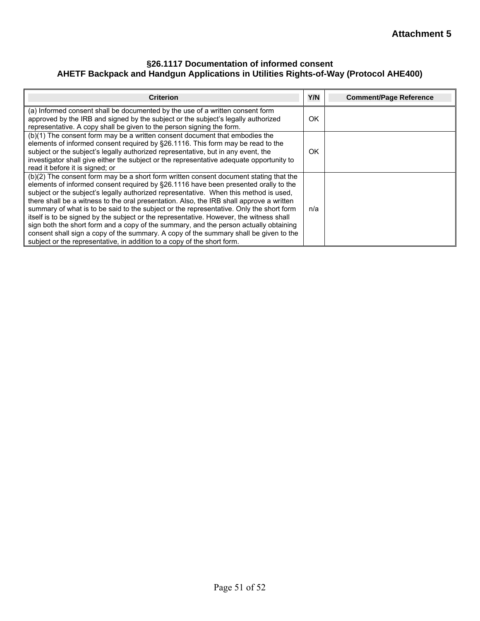#### **§26.1117 Documentation of informed consent AHETF Backpack and Handgun Applications in Utilities Rights-of-Way (Protocol AHE400)**

| <b>Criterion</b>                                                                                                                                                                                                                                                                                                                                                                                                                                                                                                                                                                                                                                                                                                                                                                                                     | Y/N | <b>Comment/Page Reference</b> |
|----------------------------------------------------------------------------------------------------------------------------------------------------------------------------------------------------------------------------------------------------------------------------------------------------------------------------------------------------------------------------------------------------------------------------------------------------------------------------------------------------------------------------------------------------------------------------------------------------------------------------------------------------------------------------------------------------------------------------------------------------------------------------------------------------------------------|-----|-------------------------------|
| (a) Informed consent shall be documented by the use of a written consent form<br>approved by the IRB and signed by the subject or the subject's legally authorized<br>representative. A copy shall be given to the person signing the form.                                                                                                                                                                                                                                                                                                                                                                                                                                                                                                                                                                          | OK  |                               |
| (b)(1) The consent form may be a written consent document that embodies the<br>elements of informed consent required by §26.1116. This form may be read to the<br>subject or the subject's legally authorized representative, but in any event, the<br>investigator shall give either the subject or the representative adequate opportunity to<br>read it before it is signed; or                                                                                                                                                                                                                                                                                                                                                                                                                                   | OK  |                               |
| (b)(2) The consent form may be a short form written consent document stating that the<br>elements of informed consent required by §26.1116 have been presented orally to the<br>subject or the subject's legally authorized representative. When this method is used,<br>there shall be a witness to the oral presentation. Also, the IRB shall approve a written<br>summary of what is to be said to the subject or the representative. Only the short form<br>itself is to be signed by the subject or the representative. However, the witness shall<br>sign both the short form and a copy of the summary, and the person actually obtaining<br>consent shall sign a copy of the summary. A copy of the summary shall be given to the<br>subject or the representative, in addition to a copy of the short form. | n/a |                               |